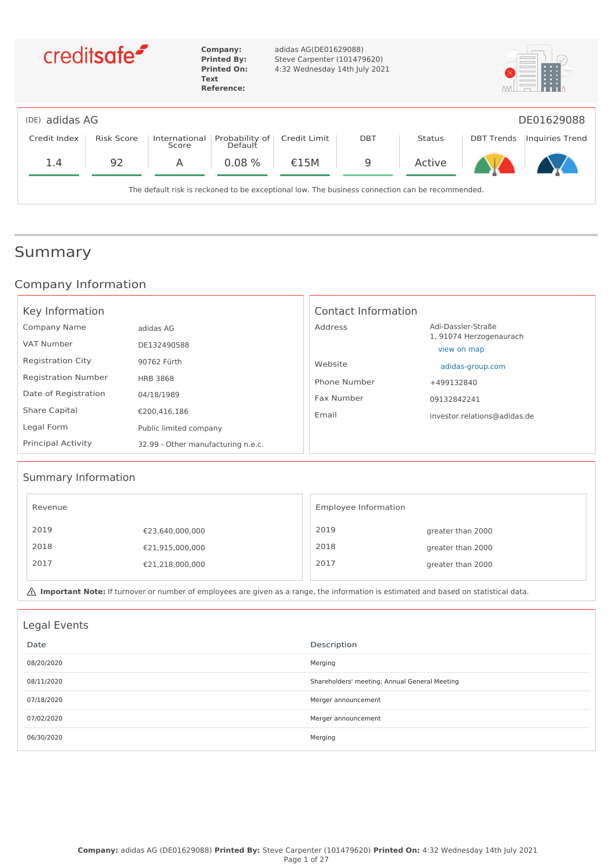|                | creditsafe <sup>-</sup> |                        | Company:<br><b>Printed By:</b><br><b>Printed On:</b><br>Text<br><b>Reference:</b> | adidas AG(DE01629088)<br>Steve Carpenter (101479620)<br>4:32 Wednesday 14th July 2021           |            |               |                   |                 |
|----------------|-------------------------|------------------------|-----------------------------------------------------------------------------------|-------------------------------------------------------------------------------------------------|------------|---------------|-------------------|-----------------|
| (DE) adidas AG |                         |                        |                                                                                   |                                                                                                 |            |               |                   | DE01629088      |
| Credit Index   | Risk Score              | International<br>Score | Probability of<br>Default                                                         | Credit Limit                                                                                    | <b>DBT</b> | <b>Status</b> | <b>DBT Trends</b> | Inquiries Trend |
| 1.4            | 92                      | A                      | 0.08%                                                                             | €15M                                                                                            | 9          | Active        |                   |                 |
|                |                         |                        |                                                                                   | The default risk is reckoned to be exceptional low. The business connection can be recommended. |            |               |                   |                 |

### Summary

### Company Information

| Key Information            |                                    | Contact Information |                                        |
|----------------------------|------------------------------------|---------------------|----------------------------------------|
| Company Name               | adidas AG                          | Address             | Adi-Dassler-Straße                     |
| VAT Number                 | DE132490588                        |                     | 1, 91074 Herzogenaurach<br>view on map |
| <b>Registration City</b>   | 90762 Fürth                        | Website             | adidas-group.com                       |
| <b>Registration Number</b> | <b>HRB 3868</b>                    | Phone Number        | +499132840                             |
| Date of Registration       | 04/18/1989                         | Fax Number          | 09132842241                            |
| <b>Share Capital</b>       | €200.416.186                       | Email               | investor.relations@adidas.de           |
| Legal Form                 | Public limited company             |                     |                                        |
| <b>Principal Activity</b>  | 32.99 - Other manufacturing n.e.c. |                     |                                        |

### Summary Information

| Revenue |                 | Employee Information |                   |
|---------|-----------------|----------------------|-------------------|
| 2019    | €23,640,000,000 | 2019                 | greater than 2000 |
| 2018    | €21,915,000,000 | 2018                 | greater than 2000 |
| 2017    | €21,218,000,000 | 2017                 | greater than 2000 |
|         |                 |                      |                   |

**A** Important Note: If turnover or number of employees are given as a range, the information is estimated and based on statistical data.

| Legal Events |                                               |
|--------------|-----------------------------------------------|
| Date         | Description                                   |
| 08/20/2020   | Merging                                       |
| 08/11/2020   | Shareholders' meeting; Annual General Meeting |
| 07/18/2020   | Merger announcement                           |
| 07/02/2020   | Merger announcement                           |
| 06/30/2020   | Merging                                       |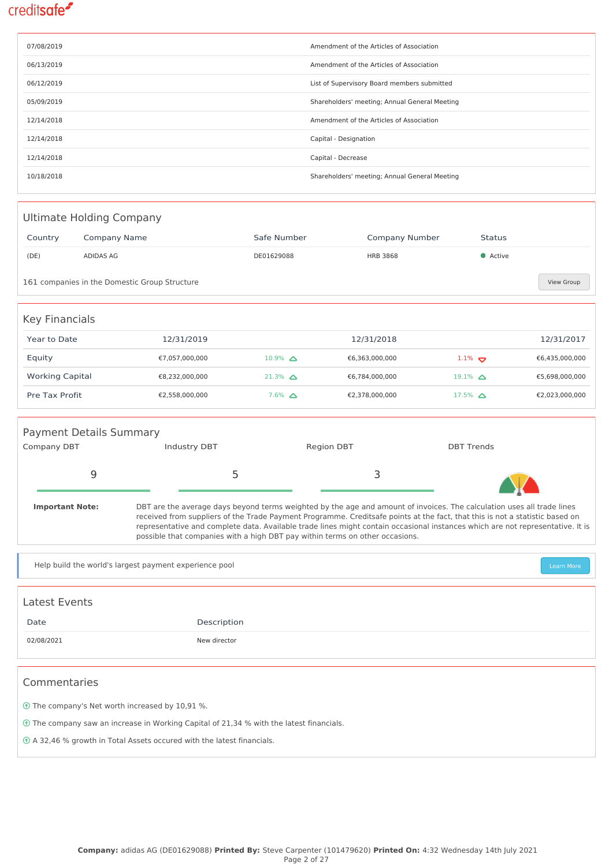| 07/08/2019 | Amendment of the Articles of Association      |
|------------|-----------------------------------------------|
| 06/13/2019 | Amendment of the Articles of Association      |
| 06/12/2019 | List of Supervisory Board members submitted   |
| 05/09/2019 | Shareholders' meeting; Annual General Meeting |
| 12/14/2018 | Amendment of the Articles of Association      |
| 12/14/2018 | Capital - Designation                         |
| 12/14/2018 | Capital - Decrease                            |
| 10/18/2018 | Shareholders' meeting; Annual General Meeting |

| Ultimate Holding Company |                                                             |                   |                 |                      |                |
|--------------------------|-------------------------------------------------------------|-------------------|-----------------|----------------------|----------------|
| Country                  | Company Name                                                | Safe Number       | Company Number  | Status               |                |
| (DE)                     | ADIDAS AG                                                   | DE01629088        | <b>HRB 3868</b> | • Active             |                |
|                          | 161 companies in the Domestic Group Structure<br>View Group |                   |                 |                      |                |
| <b>Key Financials</b>    |                                                             |                   |                 |                      |                |
| Year to Date             | 12/31/2019                                                  |                   | 12/31/2018      |                      | 12/31/2017     |
| Equity                   | €7,057,000,000                                              | $10.9\%$ $\Delta$ | €6,363,000,000  | $1.1\%$              | €6,435,000,000 |
| <b>Working Capital</b>   | €8,232,000,000                                              | $21.3\%$ $\Delta$ | €6,784,000,000  | 19.1% $\triangle$    | €5,698,000,000 |
| Pre Tax Profit           | €2,558,000,000                                              | $7.6\%$ $\Delta$  | €2,378,000,000  | $17.5\%$ $\triangle$ | €2,023,000,000 |
|                          |                                                             |                   |                 |                      |                |

| <b>Payment Details Summary</b> |              |                                                                                                                        |                   |
|--------------------------------|--------------|------------------------------------------------------------------------------------------------------------------------|-------------------|
| <b>Company DBT</b>             | Industry DBT | <b>Region DBT</b>                                                                                                      | <b>DBT Trends</b> |
|                                |              |                                                                                                                        |                   |
| <b>Important Note:</b>         |              | DBT are the average days beyond terms weighted by the age and amount of invoices. The calculation uses all trade lines |                   |

received from suppliers of the Trade Payment Programme. Creditsafe points at the fact, that this is not a statistic based on representative and complete data. Available trade lines might contain occasional instances which are not representative. It is possible that companies with a high DBT pay within terms on other occasions.

Help build the world's largest payment experience pool and the state of the state of the state of the state of the state of the state of the state of the state of the state of the state of the state of the state of the sta

| Latest Events |              |
|---------------|--------------|
| Date          | Description  |
| 02/08/2021    | New director |

#### Commentaries

The company's Net worth increased by 10,91 %.

The company saw an increase in Working Capital of 21,34 % with the latest financials.

A 32,46 % growth in Total Assets occured with the latest financials.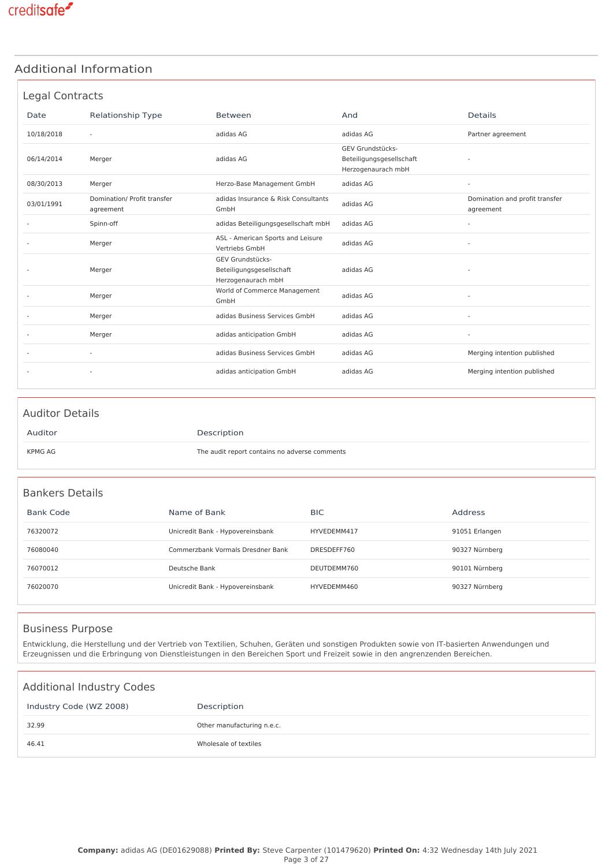### Additional Information

|            | Legal Contracts                          |                                                                    |                                                                    |                                             |
|------------|------------------------------------------|--------------------------------------------------------------------|--------------------------------------------------------------------|---------------------------------------------|
| Date       | Relationship Type                        | Between                                                            | And                                                                | <b>Details</b>                              |
| 10/18/2018 | $\sim$                                   | adidas AG                                                          | adidas AG                                                          | Partner agreement                           |
| 06/14/2014 | Merger                                   | adidas AG                                                          | GEV Grundstücks-<br>Beteiligungsgesellschaft<br>Herzogenaurach mbH |                                             |
| 08/30/2013 | Merger                                   | Herzo-Base Management GmbH                                         | adidas AG                                                          |                                             |
| 03/01/1991 | Domination/ Profit transfer<br>agreement | adidas Insurance & Risk Consultants<br>GmbH                        | adidas AG                                                          | Domination and profit transfer<br>agreement |
|            | Spinn-off                                | adidas Beteiligungsgesellschaft mbH                                | adidas AG                                                          |                                             |
|            | Merger                                   | ASL - American Sports and Leisure<br>Vertriebs GmbH                | adidas AG                                                          |                                             |
|            | Merger                                   | GEV Grundstücks-<br>Beteiligungsgesellschaft<br>Herzogenaurach mbH | adidas AG                                                          |                                             |
|            | Merger                                   | World of Commerce Management<br>GmbH                               | adidas AG                                                          | ÷,                                          |
|            | Merger                                   | adidas Business Services GmbH                                      | adidas AG                                                          |                                             |
|            | Merger                                   | adidas anticipation GmbH                                           | adidas AG                                                          | ٠                                           |
|            |                                          | adidas Business Services GmbH                                      | adidas AG                                                          | Merging intention published                 |
|            |                                          | adidas anticipation GmbH                                           | adidas AG                                                          | Merging intention published                 |

| <b>Auditor Details</b> |                                               |
|------------------------|-----------------------------------------------|
| Auditor                | Description                                   |
| KPMG AG                | The audit report contains no adverse comments |

### Bankers Details

| <b>Bank Code</b> | Name of Bank                      | <b>BIC</b>  | Address        |
|------------------|-----------------------------------|-------------|----------------|
| 76320072         | Unicredit Bank - Hypovereinsbank  | HYVEDEMM417 | 91051 Erlangen |
| 76080040         | Commerzbank Vormals Dresdner Bank | DRESDEFF760 | 90327 Nürnberg |
| 76070012         | Deutsche Bank                     | DEUTDEMM760 | 90101 Nürnberg |
| 76020070         | Unicredit Bank - Hypovereinsbank  | HYVEDEMM460 | 90327 Nürnberg |

### Business Purpose

Entwicklung, die Herstellung und der Vertrieb von Textilien, Schuhen, Geräten und sonstigen Produkten sowie von IT-basierten Anwendungen und Erzeugnissen und die Erbringung von Dienstleistungen in den Bereichen Sport und Freizeit sowie in den angrenzenden Bereichen.

| <b>Additional Industry Codes</b> |                            |
|----------------------------------|----------------------------|
| Industry Code (WZ 2008)          | Description                |
| 32.99                            | Other manufacturing n.e.c. |
| 46.41                            | Wholesale of textiles      |
|                                  |                            |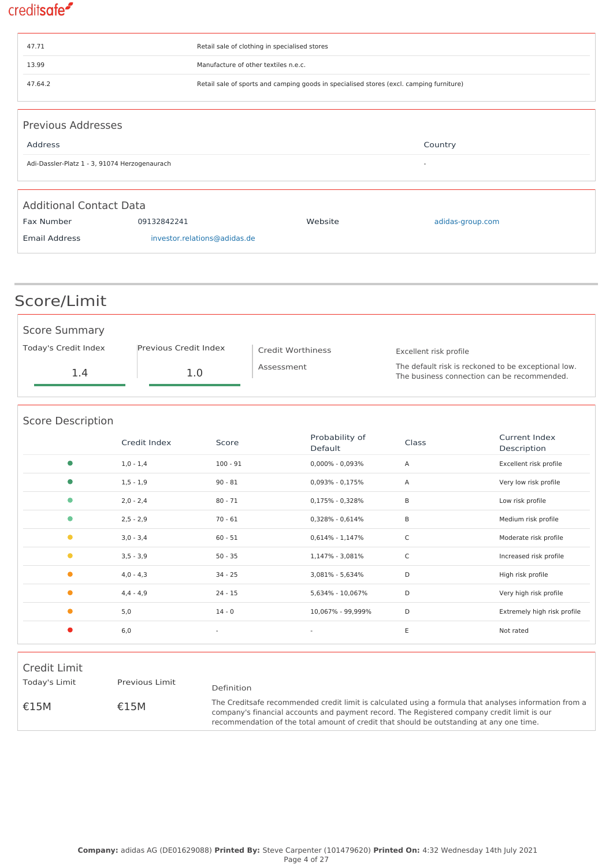| 47.71                          |                                                                                         | Retail sale of clothing in specialised stores |                  |  |  |  |
|--------------------------------|-----------------------------------------------------------------------------------------|-----------------------------------------------|------------------|--|--|--|
| 13.99                          | Manufacture of other textiles n.e.c.                                                    |                                               |                  |  |  |  |
| 47.64.2                        | Retail sale of sports and camping goods in specialised stores (excl. camping furniture) |                                               |                  |  |  |  |
|                                |                                                                                         |                                               |                  |  |  |  |
| <b>Previous Addresses</b>      |                                                                                         |                                               |                  |  |  |  |
| Address                        |                                                                                         |                                               | Country          |  |  |  |
|                                | Adi-Dassler-Platz 1 - 3, 91074 Herzogenaurach<br>$\overline{\phantom{a}}$               |                                               |                  |  |  |  |
|                                |                                                                                         |                                               |                  |  |  |  |
| <b>Additional Contact Data</b> |                                                                                         |                                               |                  |  |  |  |
| Fax Number                     | 09132842241                                                                             | Website                                       | adidas-group.com |  |  |  |
| <b>Email Address</b>           | investor.relations@adidas.de                                                            |                                               |                  |  |  |  |
|                                |                                                                                         |                                               |                  |  |  |  |

| Score/Limit          |                       |                   |                                                                                                    |
|----------------------|-----------------------|-------------------|----------------------------------------------------------------------------------------------------|
| <b>Score Summary</b> |                       |                   |                                                                                                    |
| Today's Credit Index | Previous Credit Index | Credit Worthiness | Excellent risk profile                                                                             |
| 1.4                  | 1.0                   | Assessment        | The default risk is reckoned to be exceptional low.<br>The business connection can be recommended. |

| <b>Score Description</b> |               |                          |                           |              |                              |  |
|--------------------------|---------------|--------------------------|---------------------------|--------------|------------------------------|--|
|                          | Credit Index  | Score                    | Probability of<br>Default | Class        | Current Index<br>Description |  |
| $\bullet$                | $1,0 - 1,4$   | $100 - 91$               | $0,000\% - 0,093\%$       | Α            | Excellent risk profile       |  |
| $\bullet$                | $1, 5 - 1, 9$ | $90 - 81$                | $0,093\% - 0,175\%$       | Α            | Very low risk profile        |  |
| $\bullet$                | $2,0 - 2,4$   | $80 - 71$                | 0,175% - 0,328%           | B            | Low risk profile             |  |
| $\bullet$                | $2,5 - 2,9$   | $70 - 61$                | $0,328\% - 0,614\%$       | B            | Medium risk profile          |  |
| $\bullet$                | $3,0 - 3,4$   | $60 - 51$                | $0.614\% - 1.147\%$       | $\mathsf{C}$ | Moderate risk profile        |  |
| $\bullet$                | $3,5 - 3,9$   | $50 - 35$                | 1,147% - 3,081%           | $\mathsf C$  | Increased risk profile       |  |
| $\bullet$                | $4,0 - 4,3$   | $34 - 25$                | 3,081% - 5,634%           | D            | High risk profile            |  |
| $\bullet$                | $4,4 - 4,9$   | $24 - 15$                | 5,634% - 10,067%          | D            | Very high risk profile       |  |
| $\bullet$                | 5,0           | $14 - 0$                 | 10,067% - 99,999%         | D            | Extremely high risk profile  |  |
| $\bullet$                | 6,0           | $\overline{\phantom{a}}$ | $\overline{\phantom{a}}$  | Ε            | Not rated                    |  |

| Credit Limit  |                |                                                                                                                                                                                                                                                                                                   |
|---------------|----------------|---------------------------------------------------------------------------------------------------------------------------------------------------------------------------------------------------------------------------------------------------------------------------------------------------|
| Today's Limit | Previous Limit | Definition                                                                                                                                                                                                                                                                                        |
| £15M          | £15M           | The Creditsafe recommended credit limit is calculated using a formula that analyses information from a<br>company's financial accounts and payment record. The Registered company credit limit is our<br>recommendation of the total amount of credit that should be outstanding at any one time. |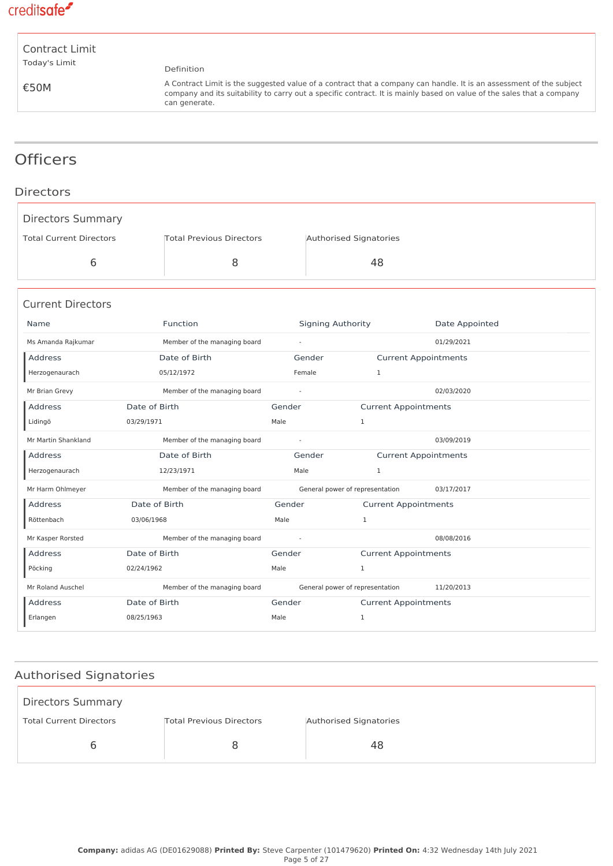

| Contract Limit |  |
|----------------|--|
| Today's Limit  |  |

€50M

Definition

A Contract Limit is the suggested value of a contract that a company can handle. It is an assessment of the subject company and its suitability to carry out a specific contract. It is mainly based on value of the sales that a company can generate.

### **Officers**

### Directors

| <b>Directors Summary</b>       |                                 |                |                                 |                             |  |
|--------------------------------|---------------------------------|----------------|---------------------------------|-----------------------------|--|
| <b>Total Current Directors</b> | <b>Total Previous Directors</b> |                | Authorised Signatories          |                             |  |
| 6                              |                                 | 8              | 48                              |                             |  |
| <b>Current Directors</b>       |                                 |                |                                 |                             |  |
| Name                           | Function                        |                | <b>Signing Authority</b>        | Date Appointed              |  |
| Ms Amanda Rajkumar             | Member of the managing board    | $\omega$       |                                 | 01/29/2021                  |  |
| Address                        | Date of Birth                   |                | Gender                          | <b>Current Appointments</b> |  |
| Herzogenaurach                 | 05/12/1972                      |                | Female<br>$\mathbf{1}$          |                             |  |
| Mr Brian Grevy                 | Member of the managing board    | $\sim$         |                                 | 02/03/2020                  |  |
| <b>Address</b>                 | Date of Birth                   | Gender         |                                 | <b>Current Appointments</b> |  |
| Lidingö                        | 03/29/1971                      | Male           | $\mathbf{1}$                    |                             |  |
| Mr Martin Shankland            | Member of the managing board    | $\blacksquare$ |                                 | 03/09/2019                  |  |
| Address                        | Date of Birth                   |                | Gender                          | <b>Current Appointments</b> |  |
| Herzogenaurach                 | 12/23/1971                      | Male           | $\mathbf{1}$                    |                             |  |
| Mr Harm Ohlmeyer               | Member of the managing board    |                | General power of representation | 03/17/2017                  |  |
| Address                        | Date of Birth                   | Gender         |                                 | <b>Current Appointments</b> |  |
| Röttenbach                     | 03/06/1968                      | Male           | $\mathbf{1}$                    |                             |  |
| Mr Kasper Rorsted              | Member of the managing board    | $\omega$       |                                 | 08/08/2016                  |  |
| Address                        | Date of Birth                   | Gender         |                                 | <b>Current Appointments</b> |  |
| Pöcking                        | 02/24/1962                      | Male           | $\mathbf{1}$                    |                             |  |
| Mr Roland Auschel              | Member of the managing board    |                | General power of representation | 11/20/2013                  |  |
| <b>Address</b>                 | Date of Birth                   | Gender         |                                 | <b>Current Appointments</b> |  |
| Erlangen                       | 08/25/1963                      | Male           | 1                               |                             |  |

### Authorised Signatories

| <b>Directors Summary</b>       |                                 |                        |
|--------------------------------|---------------------------------|------------------------|
| <b>Total Current Directors</b> | <b>Total Previous Directors</b> | Authorised Signatories |
|                                |                                 | 48                     |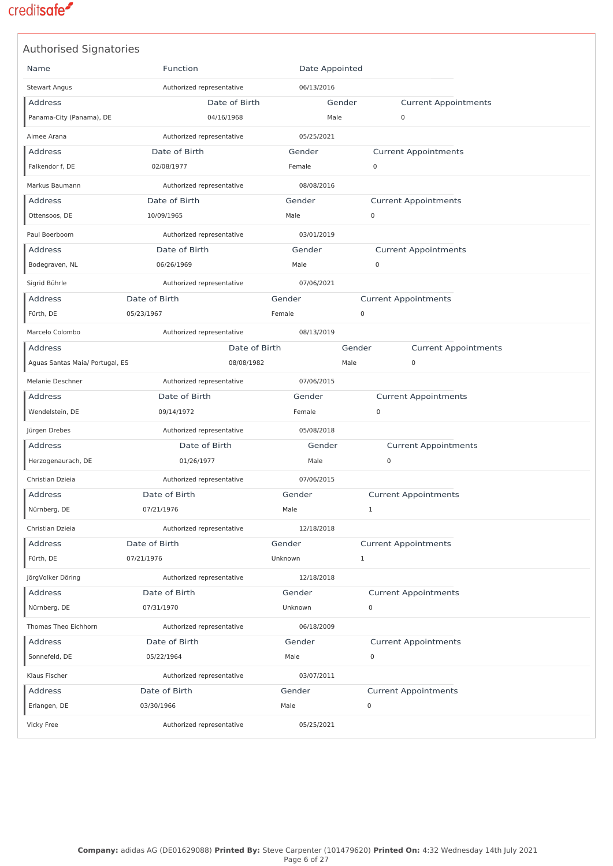| <b>Authorised Signatories</b>   |                           |                |                                       |  |
|---------------------------------|---------------------------|----------------|---------------------------------------|--|
| Name                            | Function                  | Date Appointed |                                       |  |
| <b>Stewart Angus</b>            | Authorized representative | 06/13/2016     |                                       |  |
| <b>Address</b>                  | Date of Birth             | Gender         | <b>Current Appointments</b>           |  |
| Panama-City (Panama), DE        | 04/16/1968                | Male           | 0                                     |  |
| Aimee Arana                     | Authorized representative | 05/25/2021     |                                       |  |
| <b>Address</b>                  | Date of Birth             | Gender         | <b>Current Appointments</b>           |  |
| Falkendor f, DE                 | 02/08/1977                | Female         | $\mathbf 0$                           |  |
| Markus Baumann                  | Authorized representative | 08/08/2016     |                                       |  |
| Address                         | Date of Birth             | Gender         | <b>Current Appointments</b>           |  |
| Ottensoos, DE                   | 10/09/1965                | Male           | 0                                     |  |
| Paul Boerboom                   | Authorized representative | 03/01/2019     |                                       |  |
| Address                         | Date of Birth             | Gender         | <b>Current Appointments</b>           |  |
| Bodegraven, NL                  | 06/26/1969                | Male           | 0                                     |  |
| Sigrid Bührle                   | Authorized representative | 07/06/2021     |                                       |  |
| <b>Address</b>                  | Date of Birth             | Gender         | <b>Current Appointments</b>           |  |
| Fürth, DE                       | 05/23/1967                | Female         | $\mathbf 0$                           |  |
| Marcelo Colombo                 | Authorized representative | 08/13/2019     |                                       |  |
| Address                         | Date of Birth             |                | Gender<br><b>Current Appointments</b> |  |
| Aguas Santas Maia/ Portugal, ES | 08/08/1982                | Male           | $\mathbf 0$                           |  |
| Melanie Deschner                | Authorized representative | 07/06/2015     |                                       |  |
| Address                         | Date of Birth             | Gender         | <b>Current Appointments</b>           |  |
| Wendelstein, DE                 | 09/14/1972                | Female         | 0                                     |  |
| Jürgen Drebes                   | Authorized representative | 05/08/2018     |                                       |  |
| Address                         | Date of Birth             | Gender         | <b>Current Appointments</b>           |  |
| Herzogenaurach, DE              | 01/26/1977                | Male           | 0                                     |  |
| Christian Dzieia                | Authorized representative | 07/06/2015     |                                       |  |
| <b>Address</b>                  | Date of Birth             | Gender         | <b>Current Appointments</b>           |  |
| Nürnberg, DE                    | 07/21/1976                | Male           | 1                                     |  |
| Christian Dzieia                | Authorized representative | 12/18/2018     |                                       |  |
| <b>Address</b>                  | Date of Birth             | Gender         | <b>Current Appointments</b>           |  |
| Fürth, DE                       | 07/21/1976                | Unknown        | $\mathbf{1}$                          |  |
| JörgVolker Döring               | Authorized representative | 12/18/2018     |                                       |  |
| Address                         | Date of Birth             | Gender         | <b>Current Appointments</b>           |  |
| Nürnberg, DE                    | 07/31/1970                | Unknown        | 0                                     |  |
| Thomas Theo Eichhorn            | Authorized representative | 06/18/2009     |                                       |  |
| <b>Address</b>                  | Date of Birth             | Gender         | <b>Current Appointments</b>           |  |
| Sonnefeld, DE                   | 05/22/1964                | Male           | 0                                     |  |
| Klaus Fischer                   | Authorized representative | 03/07/2011     |                                       |  |
| Address                         | Date of Birth             | Gender         | <b>Current Appointments</b>           |  |
| Erlangen, DE                    | 03/30/1966                | Male           | 0                                     |  |
|                                 |                           |                |                                       |  |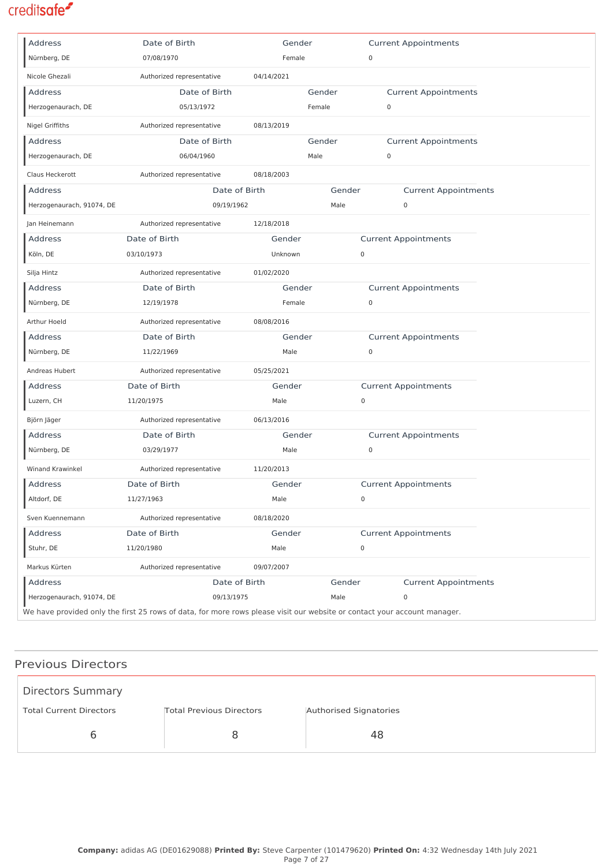| Address                   | Date of Birth                                                                                                            | Gender     |             | <b>Current Appointments</b> |  |
|---------------------------|--------------------------------------------------------------------------------------------------------------------------|------------|-------------|-----------------------------|--|
| Nürnberg, DE              | 07/08/1970                                                                                                               | Female     |             | $\mathsf 0$                 |  |
| Nicole Ghezali            | Authorized representative                                                                                                | 04/14/2021 |             |                             |  |
| Address                   | Date of Birth                                                                                                            |            | Gender      | <b>Current Appointments</b> |  |
| Herzogenaurach, DE        | 05/13/1972                                                                                                               |            | Female      | $\mathsf 0$                 |  |
| Nigel Griffiths           | Authorized representative                                                                                                | 08/13/2019 |             |                             |  |
| <b>Address</b>            | Date of Birth                                                                                                            |            | Gender      | <b>Current Appointments</b> |  |
| Herzogenaurach, DE        | 06/04/1960                                                                                                               |            | Male        | $\mathsf{O}\xspace$         |  |
| Claus Heckerott           | Authorized representative                                                                                                | 08/18/2003 |             |                             |  |
| Address                   | Date of Birth                                                                                                            |            | Gender      | <b>Current Appointments</b> |  |
| Herzogenaurach, 91074, DE | 09/19/1962                                                                                                               |            | Male        | 0                           |  |
| Jan Heinemann             | Authorized representative                                                                                                | 12/18/2018 |             |                             |  |
| <b>Address</b>            | Date of Birth                                                                                                            | Gender     |             | <b>Current Appointments</b> |  |
| Köln, DE                  | 03/10/1973                                                                                                               | Unknown    | $\mathbf 0$ |                             |  |
| Silja Hintz               | Authorized representative                                                                                                | 01/02/2020 |             |                             |  |
| <b>Address</b>            | Date of Birth                                                                                                            | Gender     |             | <b>Current Appointments</b> |  |
| Nürnberg, DE              | 12/19/1978                                                                                                               | Female     |             | 0                           |  |
| Arthur Hoeld              | Authorized representative                                                                                                | 08/08/2016 |             |                             |  |
| <b>Address</b>            | Date of Birth                                                                                                            | Gender     |             | <b>Current Appointments</b> |  |
| Nürnberg, DE              | 11/22/1969                                                                                                               | Male       |             | 0                           |  |
| Andreas Hubert            | Authorized representative                                                                                                | 05/25/2021 |             |                             |  |
| <b>Address</b>            | Date of Birth                                                                                                            | Gender     |             | <b>Current Appointments</b> |  |
| Luzern, CH                | 11/20/1975                                                                                                               | Male       | 0           |                             |  |
| Björn Jäger               | Authorized representative                                                                                                | 06/13/2016 |             |                             |  |
| Address                   | Date of Birth                                                                                                            | Gender     |             | <b>Current Appointments</b> |  |
| Nürnberg, DE              | 03/29/1977                                                                                                               | Male       |             | 0                           |  |
| Winand Krawinkel          | Authorized representative                                                                                                | 11/20/2013 |             |                             |  |
| Address                   | Date of Birth                                                                                                            | Gender     |             | <b>Current Appointments</b> |  |
| Altdorf, DE               | 11/27/1963                                                                                                               | Male       | 0           |                             |  |
| Sven Kuennemann           | Authorized representative                                                                                                | 08/18/2020 |             |                             |  |
| Address                   | Date of Birth                                                                                                            | Gender     |             | <b>Current Appointments</b> |  |
| Stuhr, DE                 | 11/20/1980                                                                                                               | Male       | $\mathbf 0$ |                             |  |
| Markus Kürten             | Authorized representative                                                                                                | 09/07/2007 |             |                             |  |
| Address                   | Date of Birth                                                                                                            |            | Gender      | <b>Current Appointments</b> |  |
| Herzogenaurach, 91074, DE | 09/13/1975                                                                                                               |            | Male        | $\mathsf 0$                 |  |
|                           | We have provided only the first 25 rows of data, for more rows please visit our website or contact your account manager. |            |             |                             |  |

### Previous Directors

| <b>Directors Summary</b>       |                                 |                        |
|--------------------------------|---------------------------------|------------------------|
| <b>Total Current Directors</b> | <b>Total Previous Directors</b> | Authorised Signatories |
|                                | Ճ                               | 48                     |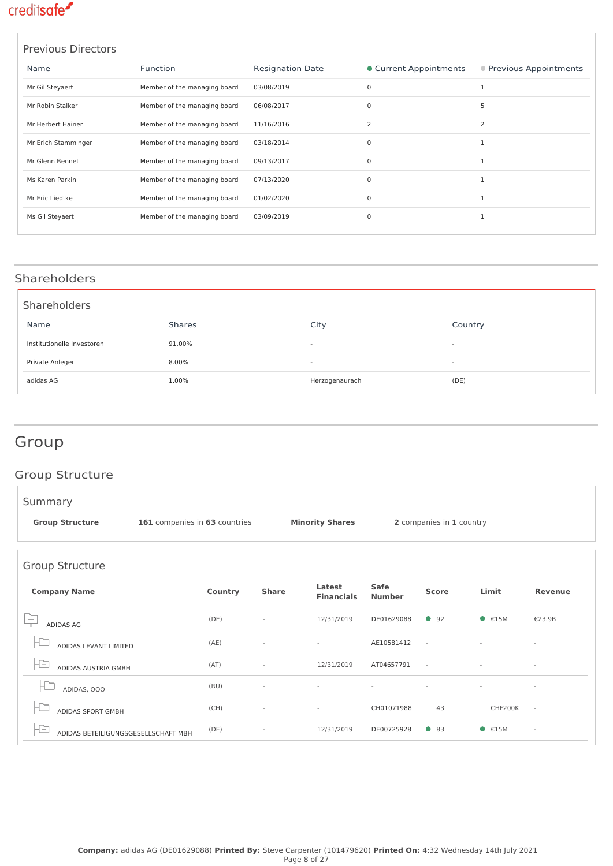| <b>Previous Directors</b> |                              |                         |                        |                         |
|---------------------------|------------------------------|-------------------------|------------------------|-------------------------|
| Name                      | Function                     | <b>Resignation Date</b> | • Current Appointments | ● Previous Appointments |
| Mr Gil Steyaert           | Member of the managing board | 03/08/2019              | $\mathbf 0$            |                         |
| Mr Robin Stalker          | Member of the managing board | 06/08/2017              | $\mathbf 0$            | 5                       |
| Mr Herbert Hainer         | Member of the managing board | 11/16/2016              | 2                      | 2                       |
| Mr Erich Stamminger       | Member of the managing board | 03/18/2014              | $\mathbf 0$            |                         |
| Mr Glenn Bennet           | Member of the managing board | 09/13/2017              | $\mathbf 0$            | 1                       |
| Ms Karen Parkin           | Member of the managing board | 07/13/2020              | $\mathbf 0$            |                         |
| Mr Eric Liedtke           | Member of the managing board | 01/02/2020              | $\mathbf 0$            |                         |
| Ms Gil Steyaert           | Member of the managing board | 03/09/2019              | 0                      | 1                       |
|                           |                              |                         |                        |                         |

### Shareholders

| Shareholders               |               |                          |                          |
|----------------------------|---------------|--------------------------|--------------------------|
| Name                       | <b>Shares</b> | City                     | Country                  |
| Institutionelle Investoren | 91.00%        | $\overline{\phantom{a}}$ | $\overline{\phantom{a}}$ |
| Private Anleger            | 8.00%         | $\overline{\phantom{0}}$ | $\overline{\phantom{a}}$ |
| adidas AG                  | 1.00%         | Herzogenaurach           | (DE)                     |

## Group

### Group Structure

| Summary                                                  |                               |         |                          |                             |                       |                          |                              |                          |
|----------------------------------------------------------|-------------------------------|---------|--------------------------|-----------------------------|-----------------------|--------------------------|------------------------------|--------------------------|
| <b>Group Structure</b>                                   | 161 companies in 63 countries |         |                          | <b>Minority Shares</b>      |                       | 2 companies in 1 country |                              |                          |
|                                                          |                               |         |                          |                             |                       |                          |                              |                          |
| Group Structure                                          |                               |         |                          |                             |                       |                          |                              |                          |
| <b>Company Name</b>                                      |                               | Country | <b>Share</b>             | Latest<br><b>Financials</b> | Safe<br><b>Number</b> | <b>Score</b>             | Limit                        | <b>Revenue</b>           |
| <b>ADIDAS AG</b>                                         |                               | (DE)    |                          | 12/31/2019                  | DE01629088            | 92                       | $\bullet$ €15M               | €23.9B                   |
| ADIDAS LEVANT LIMITED                                    |                               | (AE)    |                          |                             | AE10581412            | $\overline{\phantom{a}}$ |                              | $\bar{a}$                |
| ADIDAS AUSTRIA GMBH                                      |                               | (AT)    |                          | 12/31/2019                  | AT04657791            | $\sim$                   |                              |                          |
| ADIDAS, OOO                                              |                               | (RU)    |                          |                             |                       | $\overline{\phantom{a}}$ | $\qquad \qquad \blacksquare$ | $\sim$                   |
| ADIDAS SPORT GMBH                                        |                               | (CH)    | $\overline{\phantom{a}}$ | $\sim$                      | CH01071988            | 43                       | CHF200K                      | $\sim$                   |
| $\qquad \qquad =$<br>ADIDAS BETEILIGUNGSGESELLSCHAFT MBH |                               | (DE)    |                          | 12/31/2019                  | DE00725928            | $\bullet$ 83             | $\bullet$ $\epsilon$ 15M     | $\overline{\phantom{a}}$ |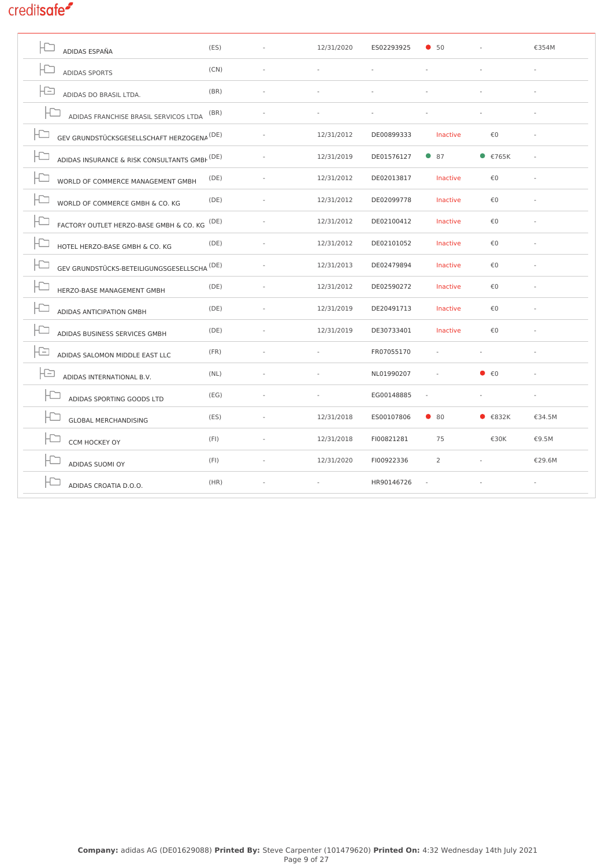| (ES)                                                   | 12/31/2020 | ES02293925 | •50            |                           | €354M  |
|--------------------------------------------------------|------------|------------|----------------|---------------------------|--------|
| (CN)                                                   |            |            |                |                           |        |
| (BR)                                                   |            |            |                |                           |        |
| (BR)<br>ADIDAS FRANCHISE BRASIL SERVICOS LTDA          |            |            |                |                           |        |
| GEV GRUNDSTÜCKSGESELLSCHAFT HERZOGENA <sup>(DE)</sup>  | 12/31/2012 | DE00899333 | Inactive       | €0                        |        |
| ADIDAS INSURANCE & RISK CONSULTANTS GMBF (DE)          | 12/31/2019 | DE01576127 | $\bullet$ 87   | • 5765K                   |        |
| (DE)                                                   | 12/31/2012 | DE02013817 | Inactive       | €0                        |        |
| (DE)                                                   | 12/31/2012 | DE02099778 | Inactive       | €0                        |        |
| (DE)<br>FACTORY OUTLET HERZO-BASE GMBH & CO. KG        | 12/31/2012 | DE02100412 | Inactive       | €0                        |        |
| (DE)                                                   | 12/31/2012 | DE02101052 | Inactive       | €0                        |        |
| GEV GRUNDSTÜCKS-BETEILIGUNGSGESELLSCHA <sup>(DE)</sup> | 12/31/2013 | DE02479894 | Inactive       | €0                        |        |
| (DE)                                                   | 12/31/2012 | DE02590272 | Inactive       | €0                        |        |
| (DE)                                                   | 12/31/2019 | DE20491713 | Inactive       | €0                        |        |
| (DE)                                                   | 12/31/2019 | DE30733401 | Inactive       | €0                        |        |
| (FR)                                                   |            | FR07055170 |                |                           |        |
| (NL)                                                   |            | NL01990207 |                | $\bullet$ $\epsilon$ 0    |        |
| (EG)                                                   |            | EG00148885 | ÷,             |                           |        |
| (ES)                                                   | 12/31/2018 | ES00107806 | $\bullet$ 80   | $\bullet$ $\epsilon$ 832K | €34.5M |
| (FI)                                                   | 12/31/2018 | FI00821281 | 75             | €30K                      | €9.5M  |
| (FI)                                                   | 12/31/2020 | FI00922336 | $\overline{2}$ |                           | €29.6M |
| (HR)                                                   |            | HR90146726 |                |                           |        |
|                                                        |            |            |                |                           |        |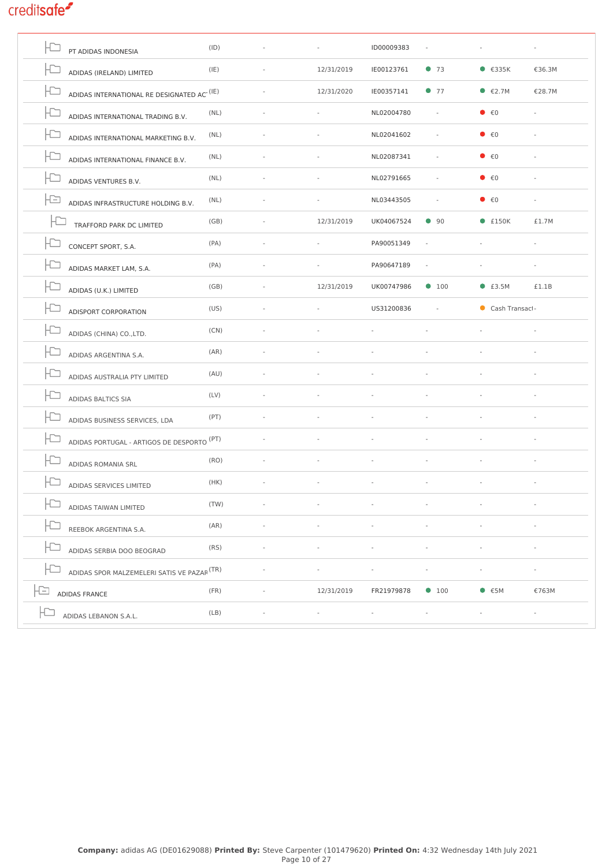|     | PT ADIDAS INDONESIA                                       | (ID) |                          | ID00009383 |               |                                   |                |
|-----|-----------------------------------------------------------|------|--------------------------|------------|---------------|-----------------------------------|----------------|
| H   | ADIDAS (IRELAND) LIMITED                                  | (IE) | 12/31/2019               | IE00123761 | •73           | $\bullet$ $\epsilon$ 335K         | €36.3M         |
|     | ADIDAS INTERNATIONAL RE DESIGNATED ACT $^{(\mathrm{IE})}$ |      | 12/31/2020               | IE00357141 | •77           | $\bullet$ $\epsilon$ 2.7M         | €28.7M         |
| la  | ADIDAS INTERNATIONAL TRADING B.V.                         | (NL) |                          | NL02004780 | $\omega$      | $\bullet$ $\epsilon$ <sup>0</sup> |                |
|     | ADIDAS INTERNATIONAL MARKETING B.V.                       | (NL) | $\overline{\phantom{a}}$ | NL02041602 | ÷,            | $\bullet$ $\epsilon$ <sup>0</sup> |                |
| ID  | ADIDAS INTERNATIONAL FINANCE B.V.                         | (NL) |                          | NL02087341 |               | $\bullet$ $\epsilon$ <sup>0</sup> |                |
|     | ADIDAS VENTURES B.V.                                      | (NL) |                          | NL02791665 |               | $\bullet$ $\epsilon$ 0            |                |
| IÐ  | ADIDAS INFRASTRUCTURE HOLDING B.V.                        | (NL) |                          | NL03443505 |               | $\bullet$ $\epsilon$ <sup>0</sup> |                |
|     | TRAFFORD PARK DC LIMITED                                  | (GB) | 12/31/2019               | UK04067524 | $\bullet$ 90  | $•$ £150K                         | £1.7M          |
| ID  | CONCEPT SPORT, S.A.                                       | (PA) |                          | PA90051349 |               |                                   |                |
|     | ADIDAS MARKET LAM. S.A.                                   | (PA) |                          | PA90647189 |               |                                   |                |
|     | ADIDAS (U.K.) LIMITED                                     | (GB) | 12/31/2019               | UK00747986 | $\bullet$ 100 | $•$ £3.5M                         | £1.1B          |
|     | ADISPORT CORPORATION                                      | (US) | $\overline{\phantom{a}}$ | US31200836 |               | Cash Transact-                    |                |
| ID  | ADIDAS (CHINA) CO., LTD.                                  | (CN) |                          |            |               |                                   |                |
|     | ADIDAS ARGENTINA S.A.                                     | (AR) |                          |            |               |                                   |                |
| IC- | ADIDAS AUSTRALIA PTY LIMITED                              | (AU) |                          |            |               |                                   |                |
| HD  | <b>ADIDAS BALTICS SIA</b>                                 | (LV) |                          |            |               |                                   |                |
| la  | ADIDAS BUSINESS SERVICES, LDA                             | (PT) |                          |            |               |                                   |                |
| IÐ  | ADIDAS PORTUGAL - ARTIGOS DE DESPORTO, <sup>(PT)</sup>    |      |                          |            |               |                                   |                |
|     | ADIDAS ROMANIA SRL                                        | (RO) |                          |            |               |                                   |                |
|     | ADIDAS SERVICES LIMITED                                   | (HK) |                          |            |               |                                   |                |
|     | ADIDAS TAIWAN LIMITED                                     | (TW) |                          |            |               |                                   |                |
|     | REEBOK ARGENTINA S.A.                                     | (AR) |                          |            |               |                                   |                |
|     | ADIDAS SERBIA DOO BEOGRAD                                 | (RS) |                          |            |               |                                   |                |
|     | ADIDAS SPOR MALZEMELERI SATIS VE PAZAR <sup>(TR)</sup>    |      |                          |            |               |                                   |                |
|     | ADIDAS FRANCE                                             | (FR) | 12/31/2019               | FR21979878 | $\bullet$ 100 | $\bullet$ $\epsilon$ 5M           | €763M          |
|     | ADIDAS LEBANON S.A.L.                                     | (LB) |                          | ÷,         |               |                                   | $\blacksquare$ |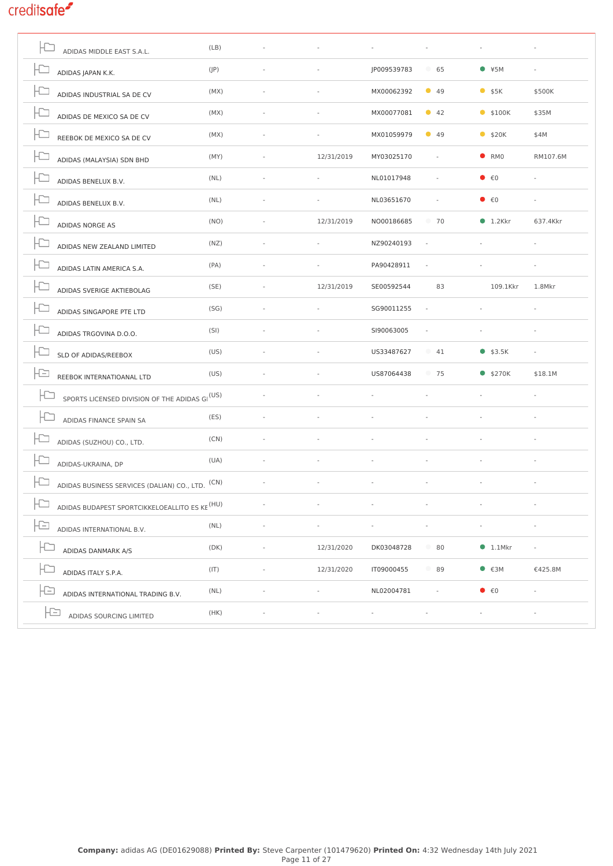| ADIDAS MIDDLE EAST S.A.L.                                   | (LB) |                          |             |                          |                                   |                          |
|-------------------------------------------------------------|------|--------------------------|-------------|--------------------------|-----------------------------------|--------------------------|
| ADIDAS JAPAN K.K.                                           | (IP) |                          | JP009539783 | 65                       | $*5M$                             |                          |
| ADIDAS INDUSTRIAL SA DE CV                                  | (MX) |                          | MX00062392  | $\bullet$ 49             | $•$ \$5K                          | \$500K                   |
| ADIDAS DE MEXICO SA DE CV                                   | (MX) | $\bar{a}$                | MX00077081  | $\bullet$ 42             | $•$ \$100K                        | \$35M                    |
| REEBOK DE MEXICO SA DE CV                                   | (MX) |                          | MX01059979  | $\bullet$ 49             | $•$ \$20K                         | \$4M                     |
| ADIDAS (MALAYSIA) SDN BHD                                   | (MY) | 12/31/2019               | MY03025170  | $\overline{\phantom{a}}$ | $\bullet$ RMO                     | RM107.6M                 |
| ADIDAS BENELUX B.V.                                         | (NL) |                          | NL01017948  |                          | $\bullet$ $\epsilon$ 0            |                          |
| ADIDAS BENELUX B.V.                                         | (NL) |                          | NL03651670  | $\sim$                   | $\bullet$ $\epsilon$ <sup>0</sup> |                          |
| ADIDAS NORGE AS                                             | (NO) | 12/31/2019               | NO00186685  | 70                       | $\bullet$ 1.2Kkr                  | 637.4Kkr                 |
| ADIDAS NEW ZEALAND LIMITED                                  | (NZ) |                          | NZ90240193  | ÷,                       |                                   |                          |
| ADIDAS LATIN AMERICA S.A.                                   | (PA) |                          | PA90428911  |                          |                                   |                          |
| ADIDAS SVERIGE AKTIEBOLAG                                   | (SE) | 12/31/2019               | SE00592544  | 83                       | 109.1Kkr                          | 1.8Mkr                   |
| ADIDAS SINGAPORE PTE LTD                                    | (SG) | $\sim$                   | SG90011255  | $\bar{a}$                |                                   |                          |
| ADIDAS TRGOVINA D.O.O.                                      | (SI) |                          | SI90063005  | $\bar{a}$                |                                   |                          |
| SLD OF ADIDAS/REEBOX                                        | (US) |                          | US33487627  | $-41$                    | \$3.5K                            |                          |
| Ð<br>REEBOK INTERNATIOANAL LTD                              | (US) |                          | US87064438  | 75                       | \$270K                            | \$18.1M                  |
| SPORTS LICENSED DIVISION OF THE ADIDAS GI <sup>(US)</sup>   |      |                          |             | ä,                       | $\bar{a}$                         | $\overline{\phantom{a}}$ |
| ADIDAS FINANCE SPAIN SA                                     | (ES) |                          |             |                          |                                   |                          |
| ADIDAS (SUZHOU) CO., LTD.                                   | (CN) |                          |             |                          |                                   |                          |
| ADIDAS-UKRAINA, DP                                          | (UA) |                          |             |                          |                                   |                          |
| ADIDAS BUSINESS SERVICES (DALIAN) CO., LTD. <sup>(CN)</sup> |      | $\overline{\phantom{a}}$ |             | ÷,                       | $\sim$                            | $\sim$                   |
| ADIDAS BUDAPEST SPORTCIKKELOEALLITO ES KE <sup>(HU)</sup>   |      |                          |             |                          |                                   |                          |
| ADIDAS INTERNATIONAL B.V.                                   | (NL) |                          |             |                          |                                   |                          |
| ADIDAS DANMARK A/S                                          | (DK) | 12/31/2020               | DK03048728  | 80                       | $\bullet$ 1.1Mkr                  |                          |
| ADIDAS ITALY S.P.A.                                         | (IT) | 12/31/2020               | IT09000455  | 89                       | $\bullet$ $\epsilon$ 3M           | €425.8M                  |
| ADIDAS INTERNATIONAL TRADING B.V.                           | (NL) |                          | NL02004781  |                          | $\bullet$ $\epsilon$ <sup>0</sup> |                          |
| Ηs<br>ADIDAS SOURCING LIMITED                               | (HK) |                          |             |                          |                                   |                          |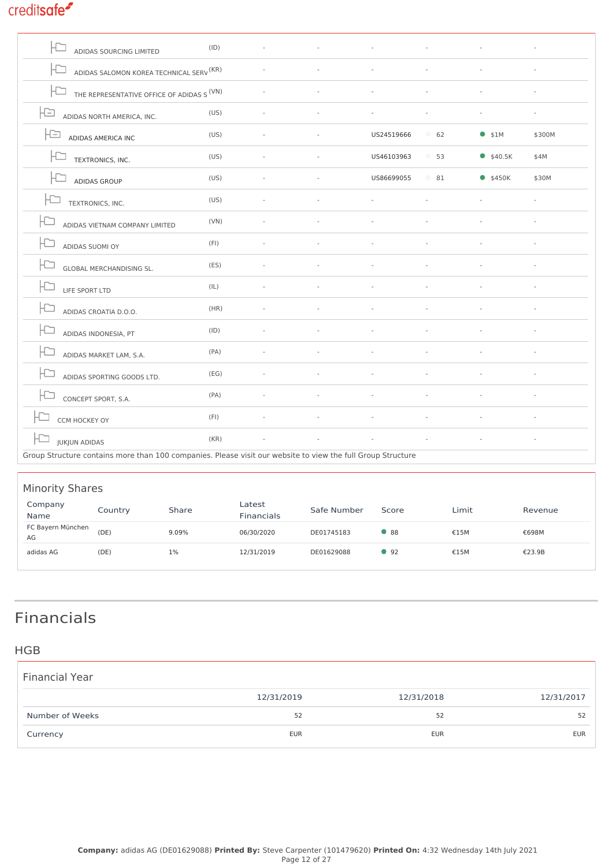| <b>ADIDAS SOURCING LIMITED</b>                      | (ID) |  |            |                                                                                                             |          |        |  |  |  |  |  |  |
|-----------------------------------------------------|------|--|------------|-------------------------------------------------------------------------------------------------------------|----------|--------|--|--|--|--|--|--|
| ADIDAS SALOMON KOREA TECHNICAL SERV <sup>(KR)</sup> |      |  |            |                                                                                                             |          |        |  |  |  |  |  |  |
| ΗJ<br>THE REPRESENTATIVE OFFICE OF ADIDAS S(VN)     |      |  |            |                                                                                                             |          |        |  |  |  |  |  |  |
| la<br>ADIDAS NORTH AMERICA, INC.                    | (US) |  |            |                                                                                                             |          |        |  |  |  |  |  |  |
| IÐ<br>ADIDAS AMERICA INC                            | (US) |  | US24519666 | 62                                                                                                          | $•$ \$1M | \$300M |  |  |  |  |  |  |
| TEXTRONICS, INC.                                    | (US) |  | US46103963 | 53                                                                                                          | \$40.5K  | \$4M   |  |  |  |  |  |  |
| ADIDAS GROUP                                        | (US) |  | US86699055 | $\circ$ 81                                                                                                  | \$450K   | \$30M  |  |  |  |  |  |  |
| F<br>TEXTRONICS, INC.                               | (US) |  |            |                                                                                                             |          |        |  |  |  |  |  |  |
| ADIDAS VIETNAM COMPANY LIMITED                      | (VN) |  |            |                                                                                                             |          |        |  |  |  |  |  |  |
| ADIDAS SUOMI OY                                     | (FI) |  |            |                                                                                                             |          |        |  |  |  |  |  |  |
| <b>GLOBAL MERCHANDISING SL.</b>                     | (ES) |  |            |                                                                                                             |          |        |  |  |  |  |  |  |
| LIFE SPORT LTD                                      | (IL) |  |            |                                                                                                             |          |        |  |  |  |  |  |  |
| ADIDAS CROATIA D.O.O.                               | (HR) |  |            |                                                                                                             |          |        |  |  |  |  |  |  |
| ADIDAS INDONESIA, PT                                | (ID) |  |            |                                                                                                             |          |        |  |  |  |  |  |  |
| ADIDAS MARKET LAM, S.A.                             | (PA) |  |            |                                                                                                             |          |        |  |  |  |  |  |  |
| ADIDAS SPORTING GOODS LTD.                          | (EG) |  |            |                                                                                                             |          |        |  |  |  |  |  |  |
| CONCEPT SPORT, S.A.                                 | (PA) |  |            |                                                                                                             |          |        |  |  |  |  |  |  |
| CCM HOCKEY OY                                       | (FI) |  |            |                                                                                                             |          |        |  |  |  |  |  |  |
| <b>JUKJUN ADIDAS</b>                                | (KR) |  |            |                                                                                                             |          |        |  |  |  |  |  |  |
|                                                     |      |  |            | Group Structure contains more than 100 companies. Please visit our website to view the full Group Structure |          |        |  |  |  |  |  |  |

#### Minority Shares Company Name Country Share Latest Financials Safe Number Score Limit Revenue [FC Bayern München](https://app.creditsafe.com/companies/DE01745183) [AG](https://app.creditsafe.com/companies/DE01745183) (DE) 9.09% 06/30/2020 [DE01745183](https://app.creditsafe.com/companies/DE01745183) 88 €15M €698M [adidas AG](https://app.creditsafe.com/companies/DE01629088) (DE) 1% 12/31/2019 [DE01629088](https://app.creditsafe.com/companies/DE01629088) ● 92 €15M €23.9B

## Financials

### **HGB**

| <b>Financial Year</b> |            |            |            |
|-----------------------|------------|------------|------------|
|                       | 12/31/2019 | 12/31/2018 | 12/31/2017 |
| Number of Weeks       | 52         | 52         | 52         |
| Currency              | <b>EUR</b> | <b>EUR</b> | <b>EUR</b> |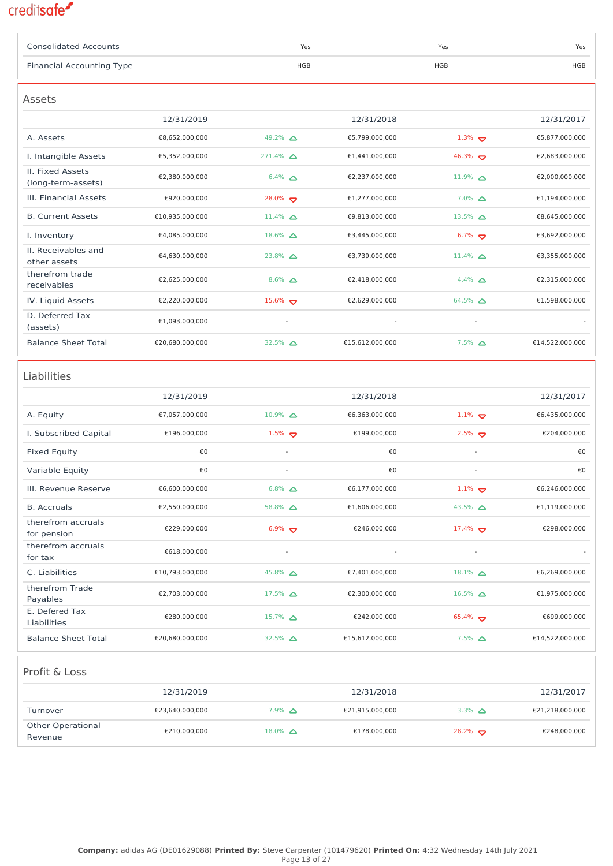| <b>Consolidated Accounts</b>             |                 |                    | Yes        |                 | Yes                  | Yes             |
|------------------------------------------|-----------------|--------------------|------------|-----------------|----------------------|-----------------|
| <b>Financial Accounting Type</b>         |                 |                    | <b>HGB</b> |                 | <b>HGB</b>           | HGB             |
|                                          |                 |                    |            |                 |                      |                 |
| Assets                                   |                 |                    |            |                 |                      |                 |
|                                          | 12/31/2019      |                    |            | 12/31/2018      |                      | 12/31/2017      |
| A. Assets                                | €8,652,000,000  | 49.2% △            |            | €5,799,000,000  | $1.3\%$              | €5,877,000,000  |
| I. Intangible Assets<br>II. Fixed Assets | €5,352,000,000  | $271.4\%$ $\Delta$ |            | €1,441,000,000  | 46.3% $\sigma$       | €2,683,000,000  |
| (long-term-assets)                       | €2,380,000,000  | $6.4\%$ $\Delta$   |            | €2,237,000,000  | $11.9\%$ $\Delta$    | €2,000,000,000  |
| III. Financial Assets                    | €920,000,000    | $28.0\%$           |            | €1,277,000,000  | $7.0\%$ $\Delta$     | €1,194,000,000  |
| <b>B. Current Assets</b>                 | €10,935,000,000 | $11.4\%$ $\Delta$  |            | €9,813,000,000  | 13.5% $\Delta$       | €8,645,000,000  |
| I. Inventory                             | €4,085,000,000  | $18.6\%$ $\Delta$  |            | €3,445,000,000  | $6.7\%$              | €3,692,000,000  |
| II. Receivables and<br>other assets      | €4,630,000,000  | $23.8\%$ $\Delta$  |            | €3,739,000,000  | $11.4\%$ $\Delta$    | €3,355,000,000  |
| therefrom trade<br>receivables           | €2,625,000,000  | $8.6\%$ $\Delta$   |            | €2,418,000,000  | 4.4% $\Delta$        | €2,315,000,000  |
| IV. Liquid Assets                        | €2,220,000,000  | $15.6\%$           |            | €2,629,000,000  | $64.5\%$ $\Delta$    | €1,598,000,000  |
| D. Deferred Tax<br>(assets)              | €1,093,000,000  |                    | $\bar{a}$  |                 |                      |                 |
| <b>Balance Sheet Total</b>               | €20,680,000,000 | 32.5% $\triangle$  |            | €15,612,000,000 | $7.5\%$ $\Delta$     | €14,522,000,000 |
| Liabilities                              |                 |                    |            |                 |                      |                 |
|                                          | 12/31/2019      |                    |            | 12/31/2018      |                      | 12/31/2017      |
| A. Equity                                | €7,057,000,000  | $10.9\%$ $\Delta$  |            | €6,363,000,000  | $1.1\%$              | €6,435,000,000  |
| I. Subscribed Capital                    | €196,000,000    | $1.5\%$            |            | €199,000,000    | $2.5\%$              | €204,000,000    |
| Fixed Equity                             | €0              |                    | ÷,         | €0              |                      | €0              |
| Variable Equity                          | €0              |                    | ä,         | €0              |                      | €0              |
| III. Revenue Reserve                     | €6,600,000,000  | $6.8\%$ $\Delta$   |            | €6,177,000,000  | 1.1% $\sigma$        | €6,246,000,000  |
| <b>B.</b> Accruals                       | €2,550,000,000  | 58.8% $\Delta$     |            | €1,606,000,000  | 43.5% $\Delta$       | €1,119,000,000  |
| therefrom accruals<br>for pension        | €229,000,000    | $6.9\%$            |            | €246,000,000    | 17.4% $\bullet$      | €298,000,000    |
| therefrom accruals<br>for tax            | €618,000,000    |                    |            |                 |                      |                 |
| C. Liabilities                           | €10,793,000,000 | $45.8\%$ $\Delta$  |            | €7,401,000,000  | $18.1\%$ $\triangle$ | €6,269,000,000  |
| therefrom Trade<br>Payables              | €2,703,000,000  | $17.5\%$ $\Delta$  |            | €2,300,000,000  | $16.5\%$ $\Delta$    | €1,975,000,000  |
| E. Defered Tax<br>Liabilities            | €280,000,000    | $15.7\%$ $\Delta$  |            | €242,000,000    | $65.4\%$             | €699,000,000    |
| <b>Balance Sheet Total</b>               | €20,680,000,000 | 32.5% $\Delta$     |            | €15,612,000,000 | $7.5\%$ $\Delta$     | €14,522,000,000 |
| Profit & Loss                            |                 |                    |            |                 |                      |                 |
|                                          | 12/31/2019      |                    |            | 12/31/2018      |                      | 12/31/2017      |
| Turnover                                 | €23,640,000,000 | $7.9\%$ $\Delta$   |            | €21,915,000,000 | 3.3% $\Delta$        | €21,218,000,000 |
| <b>Other Operational</b><br>Revenue      | €210,000,000    | $18.0\%$ $\Delta$  |            | €178,000,000    | $28.2\%$             | €248,000,000    |
|                                          |                 |                    |            |                 |                      |                 |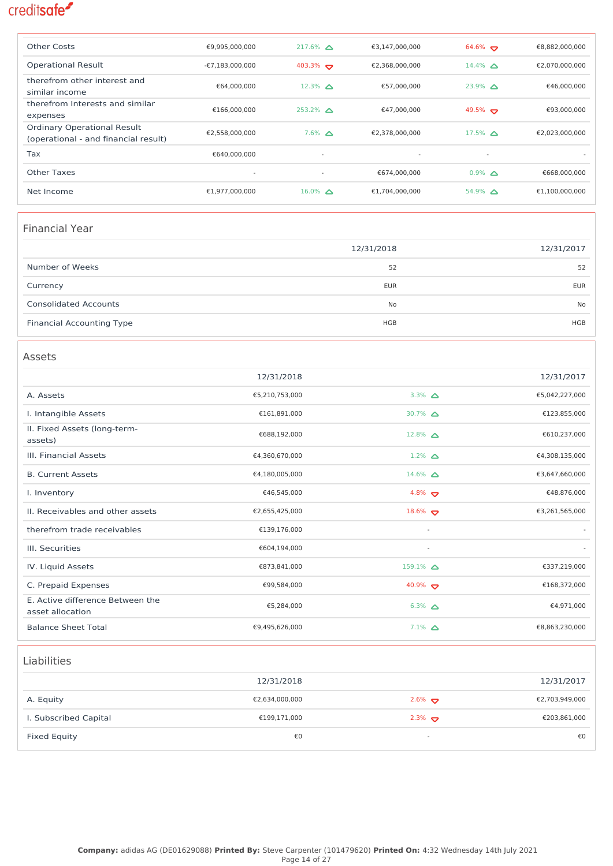| Other Costs                                                                | €9,995,000,000    | $217.6\%$ $\triangle$    | €3,147,000,000           | $64.6\%$                 | €8,882,000,000 |
|----------------------------------------------------------------------------|-------------------|--------------------------|--------------------------|--------------------------|----------------|
| <b>Operational Result</b>                                                  | $-£7,183,000,000$ | $403.3\%$                | €2,368,000,000           | 14.4% $\land$            | €2.070.000.000 |
| therefrom other interest and<br>similar income                             | €64,000,000       | $12.3\%$ $\triangle$     | €57,000,000              | $23.9\%$ $\triangle$     | €46,000,000    |
| therefrom Interests and similar<br>expenses                                | €166.000.000      | $253.2\%$ $\triangle$    | €47.000.000              | $49.5\%$                 | €93.000.000    |
| <b>Ordinary Operational Result</b><br>(operational - and financial result) | €2,558,000,000    | $7.6\%$ $\triangle$      | €2.378.000.000           | $17.5\%$ $\triangle$     | €2,023,000,000 |
| <b>Tax</b>                                                                 | €640,000,000      | $\overline{\phantom{a}}$ | $\overline{\phantom{a}}$ | $\overline{\phantom{a}}$ |                |
| Other Taxes                                                                | ٠                 | $\overline{\phantom{a}}$ | €674,000,000             | $0.9\%$ $\triangle$      | €668,000,000   |
| Net Income                                                                 | €1,977,000,000    | $16.0\%$ $\triangle$     | €1,704,000,000           | $54.9\%$ $\triangle$     | €1,100,000,000 |

### Financial Year

|                                  | 12/31/2018 | 12/31/2017 |
|----------------------------------|------------|------------|
| Number of Weeks                  | 52         | 52         |
| Currency                         | <b>EUR</b> | <b>EUR</b> |
| <b>Consolidated Accounts</b>     | No         | No         |
| <b>Financial Accounting Type</b> | HGB        | <b>HGB</b> |

#### Assets 12/31/2018 12/31/2017 A. Assets 65,210,753,000 3.3%  $\triangle$ €5,042,227,000 I. Intangible Assets  $£161,891,000$  30.7% △ €123,855,000 II. Fixed Assets (long-termassets)  $6688,192,000$  12.8%  $\triangle$ €610,237,000 III. Financial Assets  $€4,360,670,000$  1.2% △ €4,308,135,000 B. Current Assets  $\epsilon_{4,180,005,000}$  14.6%  $\triangle$ €3,647,660,000  $E = 46,545,000$  and  $E = 46,545,000$  and  $E = 48,876,000$  and  $E = 48,876,000$ II. Receivables and other assets  $\epsilon_{2,655,425,000}$   $\epsilon_{3,261,565,000}$   $\epsilon_{3,261,565,000}$ therefrom trade receivables €139,176,000 - - III. Securities  $\epsilon_{604,194,000}$ IV. Liquid Assets  $€873,841,000$  159.1% △ €337,219,000 C. Prepaid Expenses  $\epsilon$ 99,584,000  $\epsilon$ 99,584,000  $\epsilon$ 0.9%  $\sigma$   $\epsilon$  168,372,000 E. Active difference Between the asset allocation  $€5,284,000$  6.3% △ €4,971,000 Balance Sheet Total  $\epsilon_{9,495,626,000}$  7.1%  $\triangle$ €8,863,230,000

### Liabilities

|                       | 12/31/2018     |                          | 12/31/2017     |
|-----------------------|----------------|--------------------------|----------------|
| A. Equity             | €2,634,000,000 | $2.6\%$                  | €2,703,949,000 |
| I. Subscribed Capital | €199,171,000   | $2.3\%$                  | €203,861,000   |
| Fixed Equity          | €0             | $\overline{\phantom{a}}$ | €0             |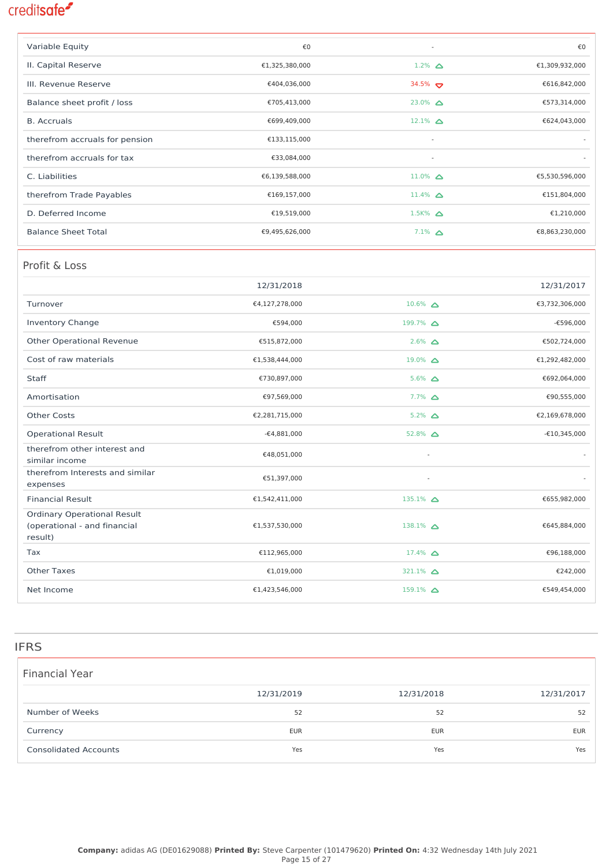| Variable Equity                | €0             | $\overline{\phantom{a}}$ | €0             |
|--------------------------------|----------------|--------------------------|----------------|
| II. Capital Reserve            | €1,325,380,000 | $1.2\%$ $\Delta$         | €1,309,932,000 |
| III. Revenue Reserve           | €404,036,000   | $34.5\%$                 | €616,842,000   |
| Balance sheet profit / loss    | €705,413,000   | $23.0\%$ $\triangle$     | €573,314,000   |
| <b>B.</b> Accruals             | €699,409,000   | $12.1\%$ $\triangle$     | €624,043,000   |
| therefrom accruals for pension | €133,115,000   | $\sim$                   |                |
| therefrom accruals for tax     | €33,084,000    | $\overline{\phantom{a}}$ |                |
| C. Liabilities                 | €6,139,588,000 | $11.0\%$ $\triangle$     | €5,530,596,000 |
| therefrom Trade Payables       | €169,157,000   | $11.4\%$ $\triangle$     | €151,804,000   |
| D. Deferred Income             | €19,519,000    | $1.5K%$ $\triangle$      | €1,210,000     |
| <b>Balance Sheet Total</b>     | €9,495,626,000 | $7.1\%$ $\Delta$         | €8,863,230,000 |

### Profit & Loss

|                                                                               | 12/31/2018     |                       | 12/31/2017     |
|-------------------------------------------------------------------------------|----------------|-----------------------|----------------|
| Turnover                                                                      | €4,127,278,000 | $10.6\%$ $\triangle$  | €3,732,306,000 |
| <b>Inventory Change</b>                                                       | €594,000       | $199.7\%$ $\Delta$    | $-6596,000$    |
| <b>Other Operational Revenue</b>                                              | €515,872,000   | $2.6\%$ $\Delta$      | €502,724,000   |
| Cost of raw materials                                                         | €1,538,444,000 | $19.0\%$ $\triangle$  | €1,292,482,000 |
| Staff                                                                         | €730,897,000   | $5.6\%$ $\Delta$      | €692,064,000   |
| Amortisation                                                                  | €97,569,000    | $7.7\%$ $\Delta$      | €90,555,000    |
| <b>Other Costs</b>                                                            | €2,281,715,000 | $5.2\%$ $\triangle$   | €2,169,678,000 |
| <b>Operational Result</b>                                                     | $-64,881,000$  | 52.8% $\triangle$     | $-£10,345,000$ |
| therefrom other interest and<br>similar income                                | €48,051,000    |                       |                |
| therefrom Interests and similar<br>expenses                                   | €51,397,000    | $\sim$                |                |
| <b>Financial Result</b>                                                       | €1,542,411,000 | $135.1\%$ $\Delta$    | €655,982,000   |
| <b>Ordinary Operational Result</b><br>(operational - and financial<br>result) | €1,537,530,000 | $138.1\%$ $\triangle$ | €645,884,000   |
| Tax                                                                           | €112,965,000   | $17.4\%$ $\Delta$     | €96,188,000    |
| <b>Other Taxes</b>                                                            | €1,019,000     | 321.1% $\triangle$    | €242,000       |
| Net Income                                                                    | €1,423,546,000 | $159.1\%$ $\Delta$    | €549,454,000   |

#### IFRS

| <b>Financial Year</b>        |            |            |            |
|------------------------------|------------|------------|------------|
|                              | 12/31/2019 | 12/31/2018 | 12/31/2017 |
| Number of Weeks              | 52         | 52         | 52         |
| Currency                     | <b>EUR</b> | <b>EUR</b> | <b>EUR</b> |
| <b>Consolidated Accounts</b> | Yes        | Yes        | Yes        |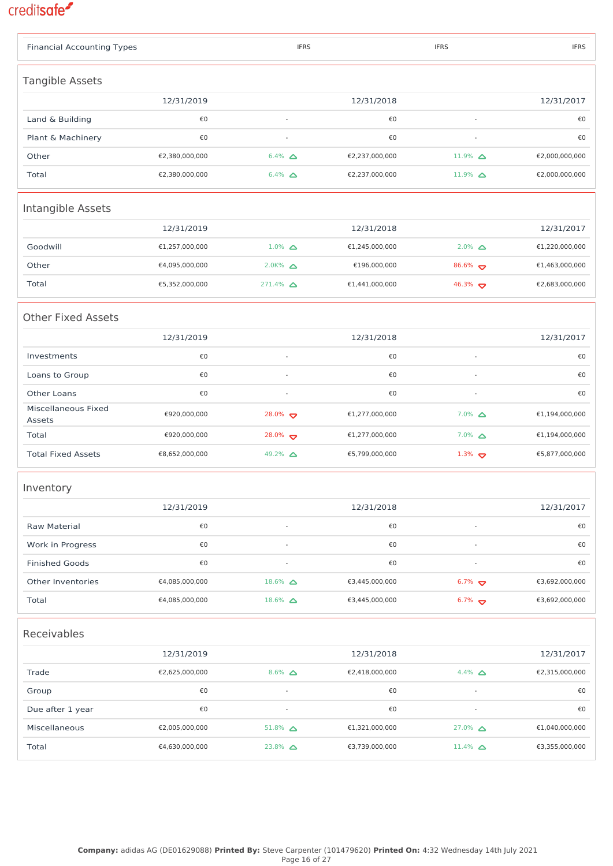| <b>Financial Accounting Types</b> |                |                          | <b>IFRS</b> |                | <b>IFRS</b>              |  | <b>IFRS</b>    |
|-----------------------------------|----------------|--------------------------|-------------|----------------|--------------------------|--|----------------|
| Tangible Assets                   |                |                          |             |                |                          |  |                |
|                                   | 12/31/2019     |                          |             | 12/31/2018     |                          |  | 12/31/2017     |
| Land & Building                   | €0             | L,                       |             | €0             |                          |  | €0             |
| Plant & Machinery                 | €0             | L,                       |             | €0             | $\sim$                   |  | €0             |
| Other                             | €2,380,000,000 | $6.4\%$ $\Delta$         |             | €2,237,000,000 | 11.9% $\triangle$        |  | €2,000,000,000 |
| Total                             | €2,380,000,000 | $6.4\%$ $\Delta$         |             | €2,237,000,000 | 11.9% $\triangle$        |  | €2,000,000,000 |
| Intangible Assets                 |                |                          |             |                |                          |  |                |
|                                   | 12/31/2019     |                          |             | 12/31/2018     |                          |  | 12/31/2017     |
| Goodwill                          | €1,257,000,000 | $1.0\%$ $\Delta$         |             | €1,245,000,000 | $2.0\%$ $\Delta$         |  | €1,220,000,000 |
| Other                             | €4,095,000,000 | $2.0K%$ $\triangle$      |             | €196,000,000   | $86.6\%$                 |  | €1,463,000,000 |
| Total                             | €5,352,000,000 | $271.4\%$ $\Delta$       |             | €1,441,000,000 | 46.3% $\sigma$           |  | €2,683,000,000 |
| <b>Other Fixed Assets</b>         |                |                          |             |                |                          |  |                |
|                                   | 12/31/2019     |                          |             | 12/31/2018     |                          |  | 12/31/2017     |
| Investments                       | €0             | $\overline{\phantom{a}}$ |             | €0             | $\overline{\phantom{a}}$ |  | €0             |
| Loans to Group                    | €0             | ÷,                       |             | €0             |                          |  | €0             |
| Other Loans                       | €0             | $\overline{\phantom{a}}$ |             | €0             | $\blacksquare$           |  | €0             |
| Miscellaneous Fixed<br>Assets     | €920,000,000   | $28.0\%$                 |             | €1,277,000,000 | $7.0\%$ $\Delta$         |  | €1,194,000,000 |
| Total                             | €920,000,000   | $28.0\%$                 |             | €1,277,000,000 | $7.0\%$ $\Delta$         |  | €1,194,000,000 |
| <b>Total Fixed Assets</b>         | €8,652,000,000 | 49.2% △                  |             | €5,799,000,000 | $1.3\%$                  |  | €5,877,000,000 |
| Inventory                         |                |                          |             |                |                          |  |                |
|                                   | 12/31/2019     |                          |             | 12/31/2018     |                          |  | 12/31/2017     |
| Raw Material                      | €0             |                          |             | €0             |                          |  | €0             |
| Work in Progress                  | €0             |                          |             | €0             |                          |  | €0             |
| <b>Finished Goods</b>             | €0             |                          |             | €0             |                          |  | €0             |
| Other Inventories                 | €4,085,000,000 | $18.6\%$ $\Delta$        |             | €3,445,000,000 | $6.7\%$                  |  | €3,692,000,000 |
| Total                             | €4,085,000,000 | $18.6\%$ $\Delta$        |             | €3,445,000,000 | $6.7\%$                  |  | €3,692,000,000 |
| Receivables                       |                |                          |             |                |                          |  |                |
|                                   | 12/31/2019     |                          |             | 12/31/2018     |                          |  | 12/31/2017     |
| Trade                             | €2,625,000,000 | $8.6\%$ $\Delta$         |             | €2,418,000,000 | 4.4% $\Delta$            |  | €2,315,000,000 |
| Group                             | €0             | $\overline{\phantom{a}}$ |             | €0             |                          |  | €0             |
| Due after 1 year                  | €0             | L,                       |             | €0             | $\blacksquare$           |  | €0             |
| Miscellaneous                     | €2,005,000,000 | $51.8\%$ $\Delta$        |             | €1,321,000,000 | $27.0\%$ $\Delta$        |  | €1,040,000,000 |
| Total                             | €4,630,000,000 | $23.8\%$ $\Delta$        |             | €3,739,000,000 | $11.4\%$ $\Delta$        |  | €3,355,000,000 |
|                                   |                |                          |             |                |                          |  |                |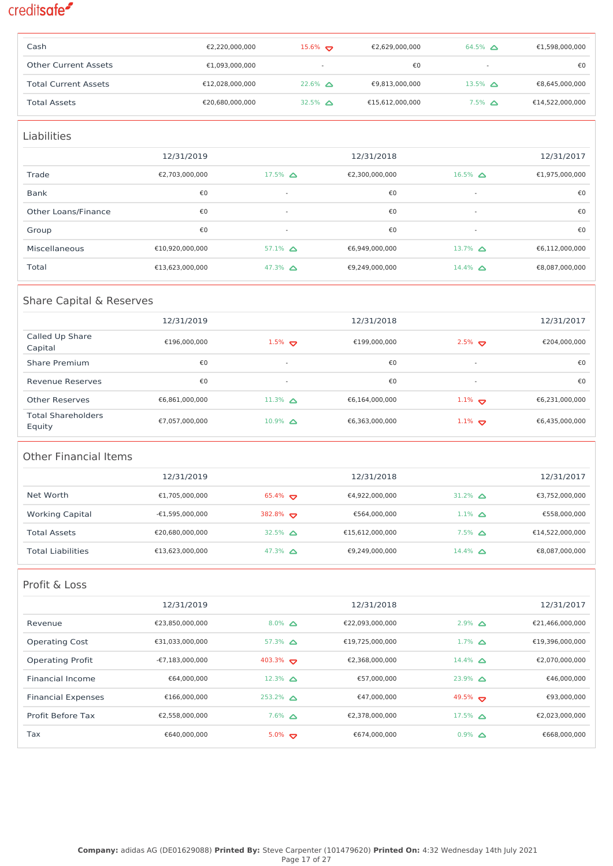| Cash                        | €2,220,000,000  | $15.6\%$                 | €2,629,000,000  | 64.5% $\Delta$           | €1,598,000,000  |
|-----------------------------|-----------------|--------------------------|-----------------|--------------------------|-----------------|
| <b>Other Current Assets</b> | €1,093,000,000  | $\overline{\phantom{a}}$ | €0              | $\overline{\phantom{a}}$ | €0              |
| <b>Total Current Assets</b> | €12,028,000,000 | $22.6\%$ $\triangle$     | €9,813,000,000  | 13.5% $\triangle$        | €8,645,000,000  |
| <b>Total Assets</b>         | €20,680,000,000 | 32.5% $\Delta$           | €15,612,000,000 | $7.5\%$ $\triangle$      | €14,522,000,000 |

| <b>Liabilities</b>  |                 |                          |                |                          |                |
|---------------------|-----------------|--------------------------|----------------|--------------------------|----------------|
|                     | 12/31/2019      |                          | 12/31/2018     |                          | 12/31/2017     |
| Trade               | €2,703,000,000  | $17.5\%$ $\triangle$     | €2,300,000,000 | $16.5\%$ $\triangle$     | €1,975,000,000 |
| Bank                | €0              | $\sim$                   | €0             | $\overline{\phantom{a}}$ | €0             |
| Other Loans/Finance | €0              | $\sim$                   | €0             | $\overline{\phantom{a}}$ | €0             |
| Group               | €0              | $\overline{\phantom{a}}$ | €0             | $\overline{\phantom{a}}$ | €0             |
| Miscellaneous       | €10,920,000,000 | $57.1\%$ $\triangle$     | €6,949,000,000 | 13.7% $\triangle$        | €6,112,000,000 |
| Total               | €13,623,000,000 | 47.3% $\Delta$           | €9,249,000,000 | $14.4\%$ $\Delta$        | €8,087,000,000 |

### Share Capital & Reserves

|                                     | 12/31/2019     |                          | 12/31/2018     |                          | 12/31/2017     |
|-------------------------------------|----------------|--------------------------|----------------|--------------------------|----------------|
| Called Up Share<br>Capital          | €196.000.000   | $1.5\%$                  | €199,000,000   | $2.5\%$                  | €204,000,000   |
| Share Premium                       | €0             | $\overline{\phantom{a}}$ | €0             | $\overline{\phantom{a}}$ | €0             |
| Revenue Reserves                    | €0             | $\overline{\phantom{0}}$ | €0             | $\overline{\phantom{a}}$ | €0             |
| Other Reserves                      | €6,861,000,000 | $11.3\%$ $\triangle$     | €6,164,000,000 | $1.1\%$                  | €6,231,000,000 |
| <b>Total Shareholders</b><br>Equity | €7.057.000.000 | $10.9\%$ $\triangle$     | €6,363,000,000 | $1.1\%$                  | €6,435,000,000 |

### Other Financial Items

|                          | 12/31/2019        |                   | 12/31/2018      |                     | 12/31/2017      |
|--------------------------|-------------------|-------------------|-----------------|---------------------|-----------------|
| Net Worth                | €1.705.000.000    | $65.4\%$          | €4,922,000,000  | 31.2% $\triangle$   | €3,752,000,000  |
| <b>Working Capital</b>   | $-£1.595.000.000$ | 382.8% $\sigma$   | €564,000,000    | $1.1\%$ $\triangle$ | €558,000,000    |
| <b>Total Assets</b>      | €20.680.000.000   | 32.5% $\triangle$ | €15.612.000.000 | $7.5\%$ $\Delta$    | €14,522,000,000 |
| <b>Total Liabilities</b> | €13.623.000.000   | 47.3% $\Delta$    | €9,249,000,000  | $14.4\%$ $\Delta$   | €8,087,000,000  |

### Profit & Loss

|                           | 12/31/2019                |                          | 12/31/2018      |                      | 12/31/2017      |
|---------------------------|---------------------------|--------------------------|-----------------|----------------------|-----------------|
| Revenue                   | €23,850,000,000           | $8.0\%$ $\triangle$      | €22,093,000,000 | $2.9\%$ $\triangle$  | €21,466,000,000 |
| <b>Operating Cost</b>     | €31,033,000,000           | $57.3\%$ $\triangle$     | €19,725,000,000 | $1.7\%$ $\Delta$     | €19,396,000,000 |
| <b>Operating Profit</b>   | $-\epsilon$ 7.183.000.000 | 403.3% $\leftrightarrow$ | €2.368.000.000  | $14.4\%$ $\triangle$ | €2.070.000.000  |
| Financial Income          | €64.000.000               | $12.3\%$ $\triangle$     | €57.000.000     | $23.9\%$ $\triangle$ | €46.000.000     |
| <b>Financial Expenses</b> | €166.000.000              | $253.2\%$ $\triangle$    | €47.000.000     | 49.5% $\sigma$       | €93.000.000     |
| Profit Before Tax         | €2.558.000.000            | $7.6\%$ $\triangle$      | €2.378.000.000  | $17.5\%$ $\triangle$ | €2.023.000.000  |
| Tax                       | €640.000.000              | $5.0\%$                  | €674,000,000    | $0.9\%$ $\Delta$     | €668,000,000    |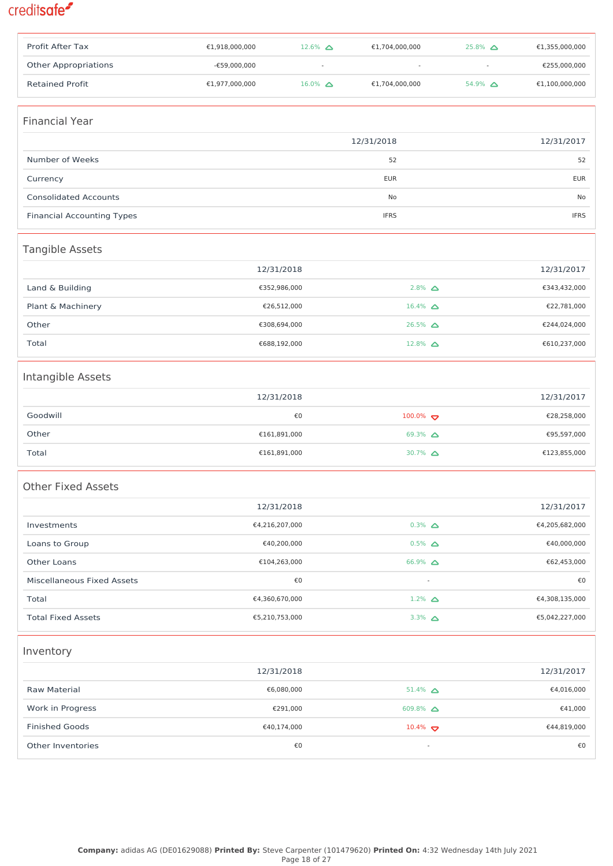| Profit After Tax                  | €1,918,000,000 | $12.6\%$ $\Delta$ | €1,704,000,000       | $25.8\%$ $\Delta$ | €1,355,000,000 |
|-----------------------------------|----------------|-------------------|----------------------|-------------------|----------------|
| <b>Other Appropriations</b>       | -€59,000,000   |                   |                      | $\sim$            | €255,000,000   |
| <b>Retained Profit</b>            | €1,977,000,000 | $16.0\%$ $\Delta$ | €1,704,000,000       | $54.9\%$ $\Delta$ | €1,100,000,000 |
|                                   |                |                   |                      |                   |                |
| <b>Financial Year</b>             |                |                   |                      |                   |                |
|                                   |                |                   | 12/31/2018           |                   | 12/31/2017     |
| Number of Weeks                   |                |                   | 52                   |                   | 52             |
| Currency                          |                |                   | <b>EUR</b>           |                   | <b>EUR</b>     |
| <b>Consolidated Accounts</b>      |                |                   | No                   |                   | No             |
| <b>Financial Accounting Types</b> |                |                   | <b>IFRS</b>          |                   | <b>IFRS</b>    |
| Tangible Assets                   |                |                   |                      |                   |                |
|                                   | 12/31/2018     |                   |                      |                   | 12/31/2017     |
| Land & Building                   |                | €352,986,000      | $2.8\%$ $\Delta$     |                   | €343,432,000   |
| Plant & Machinery                 |                | €26,512,000       | $16.4\%$ $\Delta$    |                   | €22,781,000    |
| Other                             |                | €308,694,000      | $26.5\%$ $\triangle$ |                   | €244,024,000   |
| Total                             |                | €688,192,000      | $12.8\%$ $\Delta$    |                   | €610,237,000   |
| Intangible Assets                 |                |                   |                      |                   |                |
|                                   | 12/31/2018     |                   |                      |                   | 12/31/2017     |
| Goodwill                          |                | €0                | $100.0\%$            |                   | €28,258,000    |
| Other                             |                | €161,891,000      | 69.3% $\Delta$       |                   | €95,597,000    |
| Total                             |                | €161,891,000      | 30.7% $\Delta$       |                   | €123,855,000   |
|                                   |                |                   |                      |                   |                |
| Other Fixed Assets                |                |                   |                      |                   |                |
|                                   | 12/31/2018     |                   |                      |                   | 12/31/2017     |
| Investments                       | €4,216,207,000 |                   | $0.3\%$ $\Delta$     |                   | €4,205,682,000 |
| Loans to Group                    |                | €40,200,000       | $0.5\%$ $\Delta$     |                   | €40,000,000    |
| Other Loans                       |                | €104,263,000      | $66.9\%$ $\Delta$    |                   | €62,453,000    |
| Miscellaneous Fixed Assets        |                | €0                | $\blacksquare$       |                   | €0             |
| Total                             | €4,360,670,000 |                   | $1.2\%$ $\Delta$     |                   | €4,308,135,000 |
| <b>Total Fixed Assets</b>         | €5,210,753,000 |                   | 3.3% $\Delta$        |                   | €5,042,227,000 |
| Inventory                         |                |                   |                      |                   |                |
|                                   | 12/31/2018     |                   |                      |                   | 12/31/2017     |
| Raw Material                      |                | €6,080,000        | $51.4\%$ $\Delta$    |                   | €4,016,000     |
| Work in Progress                  |                | €291,000          | 609.8% $\Delta$      |                   | €41,000        |
| <b>Finished Goods</b>             |                | €40,174,000       | $10.4\%$             |                   | €44,819,000    |
| Other Inventories                 |                | €0                | ÷                    |                   | €0             |
|                                   |                |                   |                      |                   |                |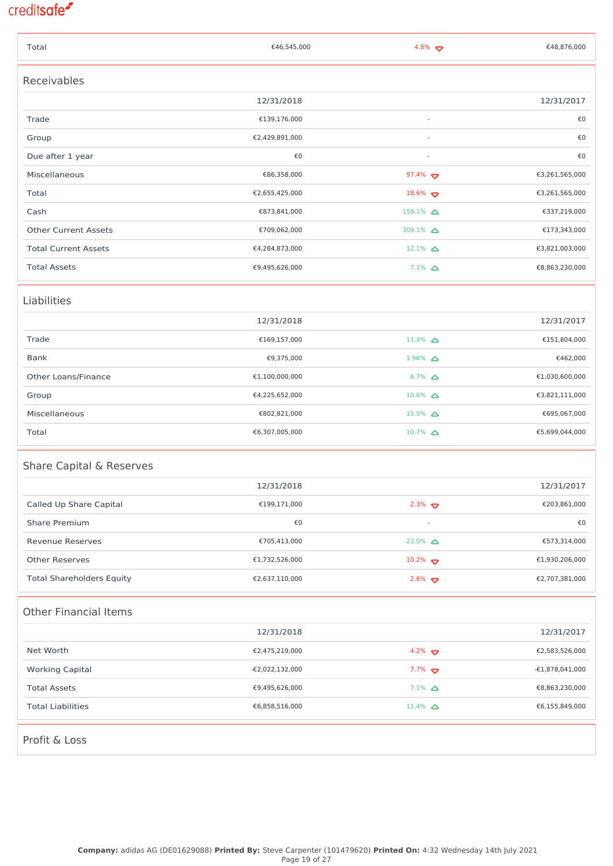| Total                            | €46,545,000     | 4.8% $\triangledown$  | €48,876,000       |
|----------------------------------|-----------------|-----------------------|-------------------|
| Receivables                      |                 |                       |                   |
|                                  | 12/31/2018      |                       | 12/31/2017        |
| Trade                            | €139,176,000    |                       | €0                |
| Group                            | €2,429,891,000  |                       | €0                |
| Due after 1 year                 | €0              | $\sim$                | €0                |
| Miscellaneous                    | €86,358,000     | 97.4% $\bullet$       | €3,261,565,000    |
| Total                            | €2,655,425,000  | 18.6% $\triangledown$ | €3,261,565,000    |
| Cash                             | €873,841,000    | $159.1\%$ $\Delta$    | €337,219,000      |
| <b>Other Current Assets</b>      | €709,062,000    | 309.1% $\Delta$       | €173,343,000      |
| <b>Total Current Assets</b>      | €4,284,873,000  | $12.1\%$ $\Delta$     | €3,821,003,000    |
| <b>Total Assets</b>              | €9,495,626,000  | $7.1\%$ $\Delta$      | €8,863,230,000    |
| Liabilities                      |                 |                       |                   |
|                                  | 12/31/2018      |                       | 12/31/2017        |
| Trade                            | €169,157,000    | $11.4\%$ $\Delta$     | €151,804,000      |
| Bank                             | €9,375,000      | $1.9K%$ $\Delta$      | €462,000          |
| Other Loans/Finance              | €1,100,000,000  | $6.7\%$ $\Delta$      | €1,030,600,000    |
| Group                            | €4,225,652,000  | $10.6\%$ $\Delta$     | €3,821,111,000    |
| Miscellaneous                    | €802,821,000    | $15.5\%$ $\Delta$     | €695,067,000      |
| Total                            | €6,307,005,000  | $10.7\%$ $\Delta$     | €5,699,044,000    |
| Share Capital & Reserves         |                 |                       |                   |
|                                  | 12/31/2018      |                       | 12/31/2017        |
| Called Up Share Capital          | €199,171,000    | $2.3\%$               | €203,861,000      |
| <b>Share Premium</b>             | €0              |                       | €0                |
| <b>Revenue Reserves</b>          | €705,413,000    | $23.0\%$ $\Delta$     | €573,314,000      |
| <b>Other Reserves</b>            | €1,732,526,000  | $10.2\%$              | €1,930,206,000    |
| <b>Total Shareholders Equity</b> | €2,637,110,000  | $2.6\%$               | €2,707,381,000    |
| <b>Other Financial Items</b>     |                 |                       |                   |
|                                  | 12/31/2018      |                       | 12/31/2017        |
| Net Worth                        | €2,475,219,000  | 4.2% $\bullet$        | €2,583,526,000    |
| <b>Working Capital</b>           | -€2,022,132,000 | $7.7\%$               | $-£1,878,041,000$ |
| <b>Total Assets</b>              | €9,495,626,000  | $7.1\%$ $\Delta$      | €8,863,230,000    |
| <b>Total Liabilities</b>         | €6,858,516,000  | $11.4\%$ $\Delta$     | €6,155,849,000    |
| Profit & Loss                    |                 |                       |                   |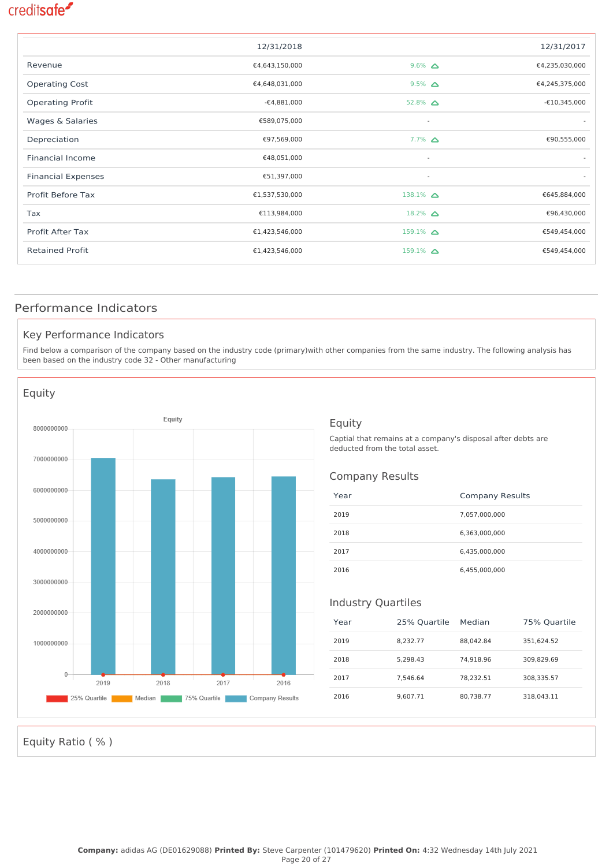|                           | 12/31/2018     |                          | 12/31/2017     |
|---------------------------|----------------|--------------------------|----------------|
| Revenue                   | €4,643,150,000 | $9.6\%$ $\Delta$         | €4,235,030,000 |
| <b>Operating Cost</b>     | €4,648,031,000 | $9.5\%$ $\Delta$         | €4,245,375,000 |
| <b>Operating Profit</b>   | $-64,881,000$  | 52.8% $\Delta$           | $-£10,345,000$ |
| Wages & Salaries          | €589,075,000   | $\overline{\phantom{a}}$ |                |
| Depreciation              | €97,569,000    | $7.7\%$ $\Delta$         | €90,555,000    |
| <b>Financial Income</b>   | €48,051,000    | $\sim$                   |                |
| <b>Financial Expenses</b> | €51,397,000    | $\sim$                   |                |
| Profit Before Tax         | €1,537,530,000 | $138.1\%$ $\Delta$       | €645,884,000   |
| Tax                       | €113,984,000   | 18.2% $\triangle$        | €96,430,000    |
| Profit After Tax          | €1,423,546,000 | $159.1\%$ $\Delta$       | €549,454,000   |
| <b>Retained Profit</b>    | €1,423,546,000 | $159.1\%$ $\Delta$       | €549,454,000   |
|                           |                |                          |                |

### Performance Indicators

#### Key Performance Indicators

Find below a comparison of the company based on the industry code (primary)with other companies from the same industry. The following analysis has been based on the industry code 32 - Other manufacturing



#### Equity

Captial that remains at a company's disposal after debts are deducted from the total asset.

#### Company Results

| Year | <b>Company Results</b> |
|------|------------------------|
| 2019 | 7,057,000,000          |
| 2018 | 6,363,000,000          |
| 2017 | 6,435,000,000          |
| 2016 | 6,455,000,000          |

#### Industry Quartiles

| Year | 25% Quartile | Median    | 75% Quartile |
|------|--------------|-----------|--------------|
| 2019 | 8.232.77     | 88.042.84 | 351.624.52   |
| 2018 | 5.298.43     | 74.918.96 | 309.829.69   |
| 2017 | 7.546.64     | 78.232.51 | 308.335.57   |
| 2016 | 9.607.71     | 80.738.77 | 318.043.11   |

Equity Ratio ( % )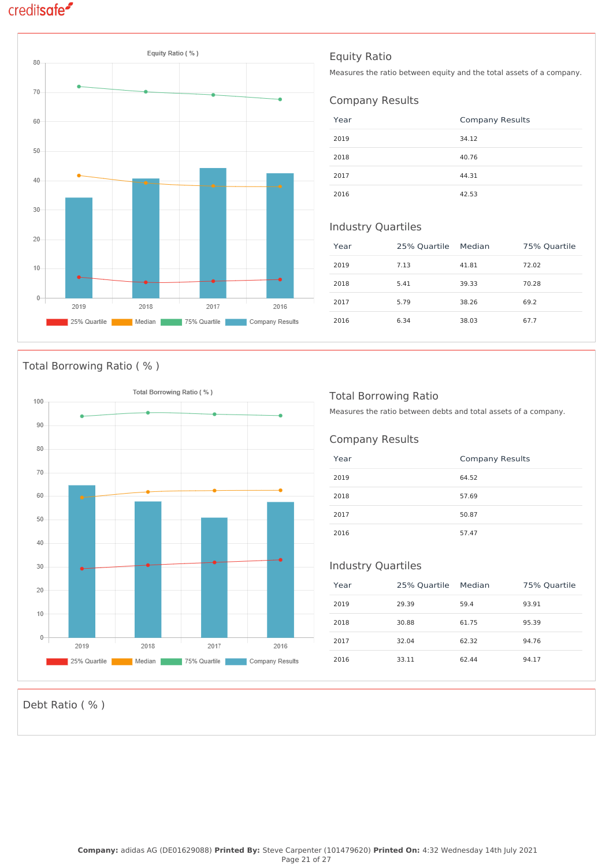

### Total Borrowing Ratio ( % )



### Equity Ratio

Measures the ratio between equity and the total assets of a company.

### Company Results

| Year | <b>Company Results</b> |
|------|------------------------|
| 2019 | 34.12                  |
| 2018 | 40.76                  |
| 2017 | 44.31                  |
| 2016 | 42.53                  |

### Industry Quartiles

| Year | 25% Quartile | Median | 75% Quartile |
|------|--------------|--------|--------------|
| 2019 | 7.13         | 41.81  | 72.02        |
| 2018 | 5.41         | 39.33  | 70.28        |
| 2017 | 5.79         | 38.26  | 69.2         |
| 2016 | 6.34         | 38.03  | 67.7         |

### Total Borrowing Ratio

Measures the ratio between debts and total assets of a company.

### Company Results

| Year | <b>Company Results</b> |
|------|------------------------|
| 2019 | 64.52                  |
| 2018 | 57.69                  |
| 2017 | 50.87                  |
| 2016 | 57.47                  |

### Industry Quartiles

| Year | 25% Quartile | Median | 75% Quartile |
|------|--------------|--------|--------------|
| 2019 | 29.39        | 59.4   | 93.91        |
| 2018 | 30.88        | 61.75  | 95.39        |
| 2017 | 32.04        | 62.32  | 94.76        |
| 2016 | 33.11        | 62.44  | 94.17        |

Debt Ratio ( % )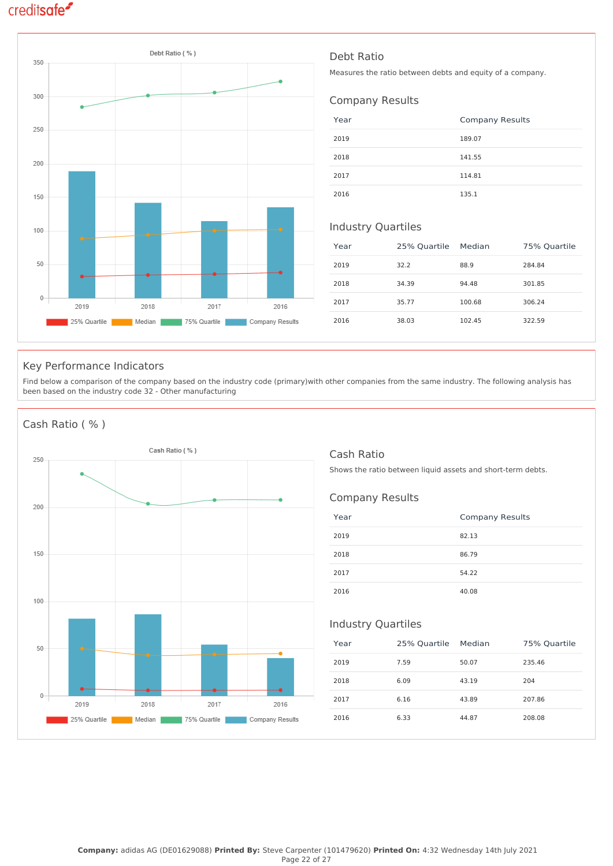

### Debt Ratio

Measures the ratio between debts and equity of a company.

### Company Results

| Year | <b>Company Results</b> |
|------|------------------------|
| 2019 | 189.07                 |
| 2018 | 141.55                 |
| 2017 | 114.81                 |
| 2016 | 135.1                  |

#### Industry Quartiles

| Year | 25% Quartile | Median | 75% Quartile |
|------|--------------|--------|--------------|
| 2019 | 32.2         | 88.9   | 284.84       |
| 2018 | 34.39        | 94.48  | 301.85       |
| 2017 | 35.77        | 100.68 | 306.24       |
| 2016 | 38.03        | 102.45 | 322.59       |

### Key Performance Indicators

Find below a comparison of the company based on the industry code (primary)with other companies from the same industry. The following analysis has been based on the industry code 32 - Other manufacturing

### Cash Ratio ( % )



### Cash Ratio

Shows the ratio between liquid assets and short-term debts.

#### Company Results

| Year | <b>Company Results</b> |
|------|------------------------|
| 2019 | 82.13                  |
| 2018 | 86.79                  |
| 2017 | 54.22                  |
| 2016 | 40.08                  |

### Industry Quartiles

| Year | 25% Quartile | Median | 75% Quartile |
|------|--------------|--------|--------------|
| 2019 | 7.59         | 50.07  | 235.46       |
| 2018 | 6.09         | 43.19  | 204          |
| 2017 | 6.16         | 43.89  | 207.86       |
| 2016 | 6.33         | 44.87  | 208.08       |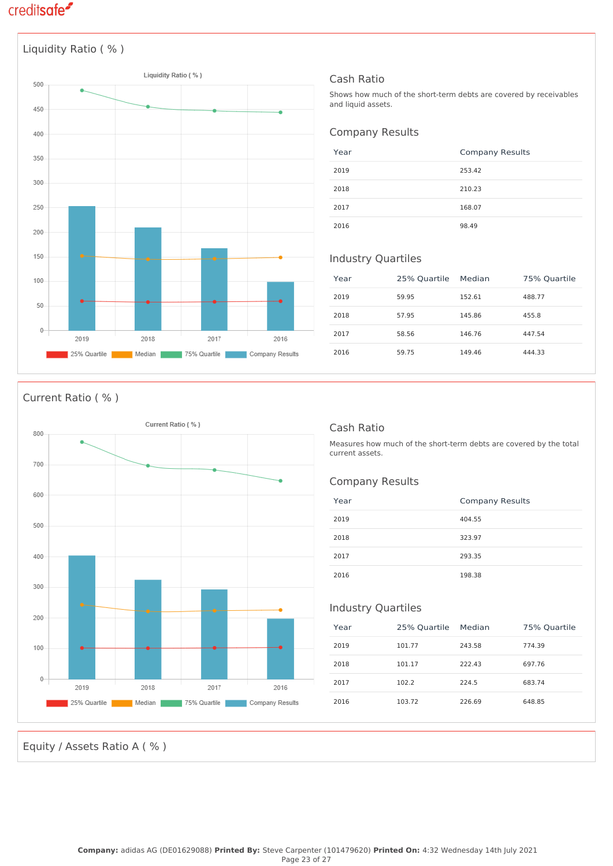

### Cash Ratio

Shows how much of the short-term debts are covered by receivables and liquid assets.

### Company Results

| Year | <b>Company Results</b> |
|------|------------------------|
| 2019 | 253.42                 |
| 2018 | 210.23                 |
| 2017 | 168.07                 |
| 2016 | 98.49                  |

### Industry Quartiles

| Year | 25% Quartile | Median | 75% Quartile |
|------|--------------|--------|--------------|
| 2019 | 59.95        | 152.61 | 488.77       |
| 2018 | 57.95        | 145.86 | 455.8        |
| 2017 | 58.56        | 146.76 | 447.54       |
| 2016 | 59.75        | 149.46 | 444.33       |

#### Current Ratio ( % )



### Cash Ratio

Measures how much of the short-term debts are covered by the total current assets.

#### Company Results

| Year | <b>Company Results</b> |
|------|------------------------|
| 2019 | 404.55                 |
| 2018 | 323.97                 |
| 2017 | 293.35                 |
| 2016 | 198.38                 |

### Industry Quartiles

| Year | 25% Quartile | Median | 75% Quartile |
|------|--------------|--------|--------------|
| 2019 | 101.77       | 243.58 | 774.39       |
| 2018 | 101.17       | 222.43 | 697.76       |
| 2017 | 102.2        | 224.5  | 683.74       |
| 2016 | 103.72       | 226.69 | 648.85       |

Equity / Assets Ratio A ( % )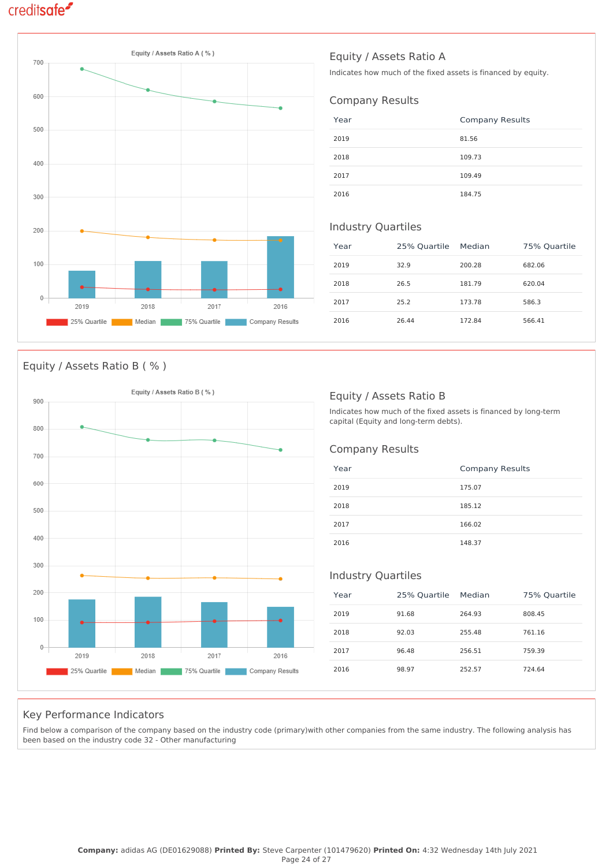

### Equity / Assets Ratio B ( % )



### Equity / Assets Ratio A

Indicates how much of the fixed assets is financed by equity.

### Company Results

| Year | <b>Company Results</b> |
|------|------------------------|
| 2019 | 81.56                  |
| 2018 | 109.73                 |
| 2017 | 109.49                 |
| 2016 | 184.75                 |

#### Industry Quartiles

| Year | 25% Quartile | Median | 75% Quartile |
|------|--------------|--------|--------------|
| 2019 | 32.9         | 200.28 | 682.06       |
| 2018 | 26.5         | 181.79 | 620.04       |
| 2017 | 25.2         | 173.78 | 586.3        |
| 2016 | 26.44        | 172.84 | 566.41       |

### Equity / Assets Ratio B

Indicates how much of the fixed assets is financed by long-term capital (Equity and long-term debts).

### Company Results

| Year | <b>Company Results</b> |
|------|------------------------|
| 2019 | 175.07                 |
| 2018 | 185.12                 |
| 2017 | 166.02                 |
| 2016 | 148.37                 |

### Industry Quartiles

| Year | 25% Quartile | Median | 75% Quartile |
|------|--------------|--------|--------------|
| 2019 | 91.68        | 264.93 | 808.45       |
| 2018 | 92.03        | 255.48 | 761.16       |
| 2017 | 96.48        | 256.51 | 759.39       |
| 2016 | 98.97        | 252.57 | 724.64       |

### Key Performance Indicators

Find below a comparison of the company based on the industry code (primary)with other companies from the same industry. The following analysis has been based on the industry code 32 - Other manufacturing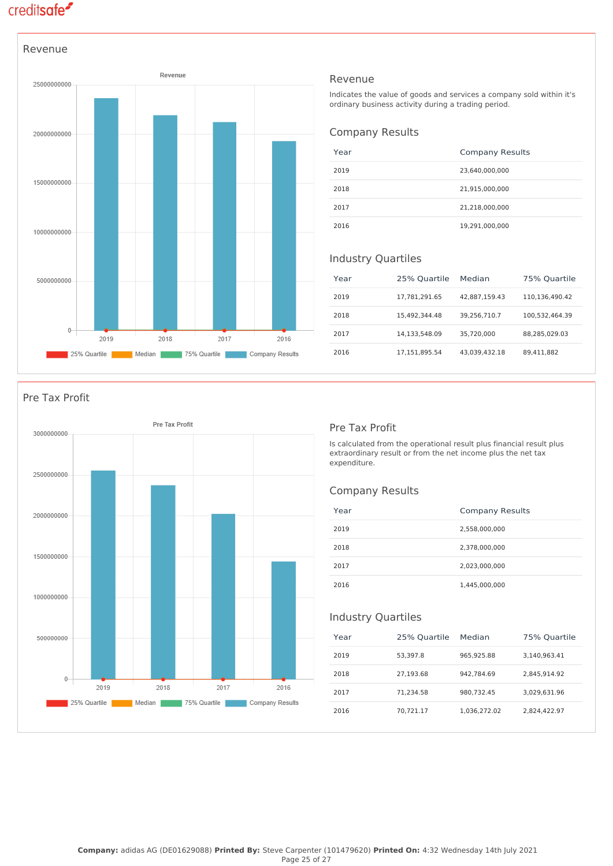

#### Revenue

Indicates the value of goods and services a company sold within it's ordinary business activity during a trading period.

#### Company Results

| Year | <b>Company Results</b> |
|------|------------------------|
| 2019 | 23,640,000,000         |
| 2018 | 21,915,000,000         |
| 2017 | 21,218,000,000         |
| 2016 | 19,291,000,000         |

#### Industry Quartiles

| Year | 25% Quartile  | Median        | 75% Quartile   |
|------|---------------|---------------|----------------|
| 2019 | 17.781.291.65 | 42,887,159.43 | 110.136.490.42 |
| 2018 | 15,492,344.48 | 39.256.710.7  | 100,532,464.39 |
| 2017 | 14.133.548.09 | 35.720.000    | 88,285,029.03  |
| 2016 | 17.151.895.54 | 43.039.432.18 | 89.411.882     |

### Pre Tax Profit



#### Pre Tax Profit

Is calculated from the operational result plus financial result plus extraordinary result or from the net income plus the net tax expenditure.

### Company Results

| Year | <b>Company Results</b> |
|------|------------------------|
| 2019 | 2,558,000,000          |
| 2018 | 2,378,000,000          |
| 2017 | 2,023,000,000          |
| 2016 | 1,445,000,000          |

#### Industry Quartiles

| Year | 25% Quartile | Median       | 75% Quartile |
|------|--------------|--------------|--------------|
| 2019 | 53,397.8     | 965.925.88   | 3,140,963.41 |
| 2018 | 27.193.68    | 942.784.69   | 2.845.914.92 |
| 2017 | 71.234.58    | 980.732.45   | 3.029.631.96 |
| 2016 | 70.721.17    | 1.036.272.02 | 2.824.422.97 |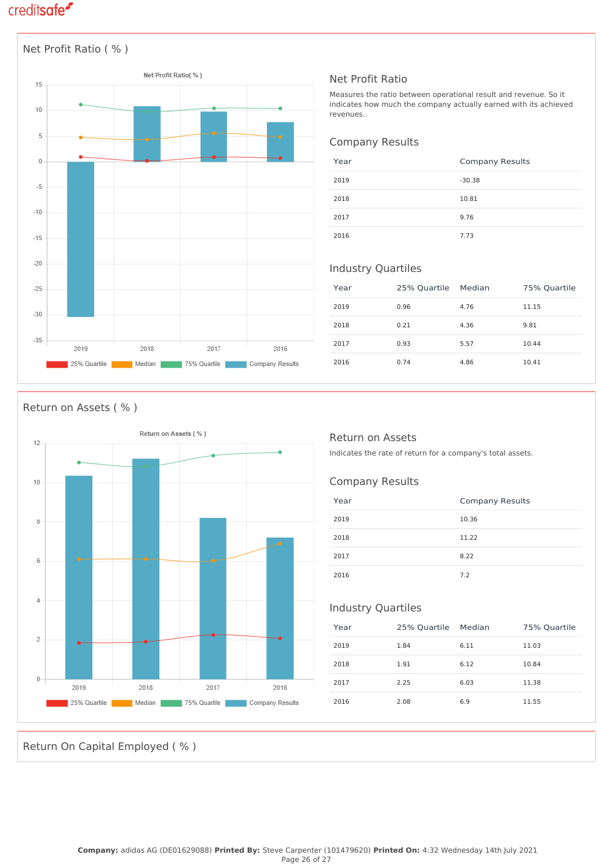

### Net Profit Ratio

Measures the ratio between operational result and revenue. So it indicates how much the company actually earned with its achieved revenues.

#### Company Results

| Year | <b>Company Results</b> |
|------|------------------------|
| 2019 | $-30.38$               |
| 2018 | 10.81                  |
| 2017 | 9.76                   |
| 2016 | 7.73                   |

### Industry Quartiles

| Year | 25% Quartile Median |      | 75% Quartile |
|------|---------------------|------|--------------|
| 2019 | 0.96                | 4.76 | 11.15        |
| 2018 | 0.21                | 4.36 | 9.81         |
| 2017 | 0.93                | 5.57 | 10.44        |
| 2016 | 0.74                | 4.86 | 10.41        |

### Return on Assets ( % )



### Return on Assets

Indicates the rate of return for a company's total assets.

### Company Results

| Year | <b>Company Results</b> |
|------|------------------------|
| 2019 | 10.36                  |
| 2018 | 11.22                  |
| 2017 | 8.22                   |
| 2016 | 7.2                    |

### Industry Quartiles

| Year | 25% Quartile Median |      | 75% Quartile |
|------|---------------------|------|--------------|
| 2019 | 1.84                | 6.11 | 11.03        |
| 2018 | 1.91                | 6.12 | 10.84        |
| 2017 | 2.25                | 6.03 | 11.38        |
| 2016 | 2.08                | 6.9  | 11.55        |

Return On Capital Employed ( % )